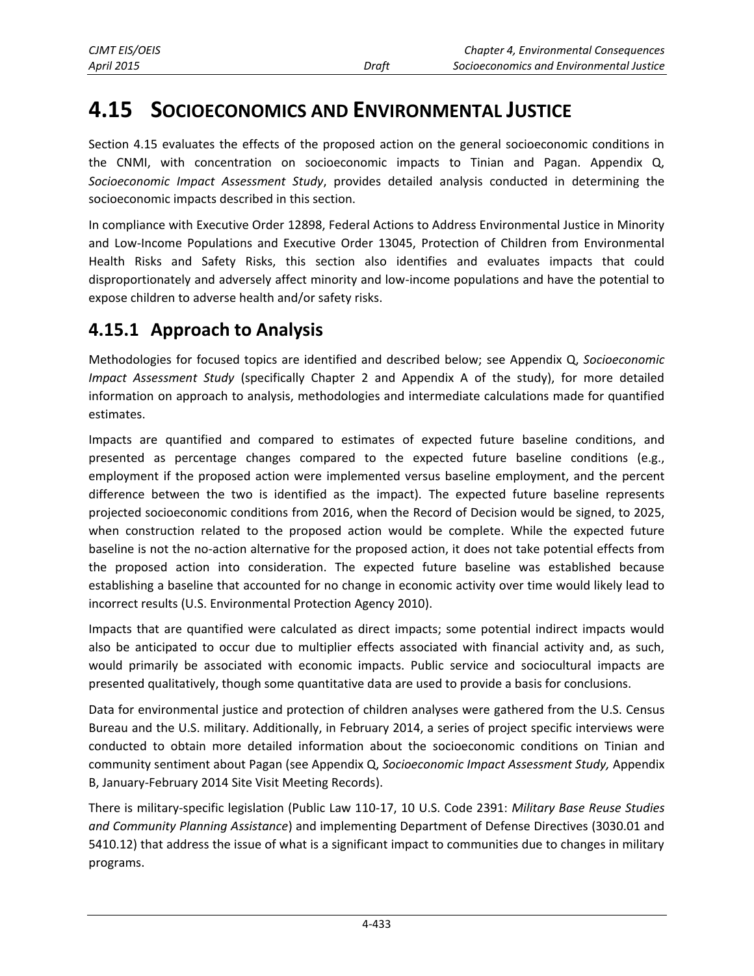# **4.15 SOCIOECONOMICS AND ENVIRONMENTAL JUSTICE**

Section 4.15 evaluates the effects of the proposed action on the general socioeconomic conditions in the CNMI, with concentration on socioeconomic impacts to Tinian and Pagan. Appendix Q, *Socioeconomic Impact Assessment Study*, provides detailed analysis conducted in determining the socioeconomic impacts described in this section.

In compliance with Executive Order 12898, Federal Actions to Address Environmental Justice in Minority and Low-Income Populations and Executive Order 13045, Protection of Children from Environmental Health Risks and Safety Risks, this section also identifies and evaluates impacts that could disproportionately and adversely affect minority and low-income populations and have the potential to expose children to adverse health and/or safety risks.

# **4.15.1 Approach to Analysis**

Methodologies for focused topics are identified and described below; see Appendix Q, *Socioeconomic Impact Assessment Study* (specifically Chapter 2 and Appendix A of the study), for more detailed information on approach to analysis, methodologies and intermediate calculations made for quantified estimates.

Impacts are quantified and compared to estimates of expected future baseline conditions, and presented as percentage changes compared to the expected future baseline conditions (e.g., employment if the proposed action were implemented versus baseline employment, and the percent difference between the two is identified as the impact). The expected future baseline represents projected socioeconomic conditions from 2016, when the Record of Decision would be signed, to 2025, when construction related to the proposed action would be complete. While the expected future baseline is not the no-action alternative for the proposed action, it does not take potential effects from the proposed action into consideration. The expected future baseline was established because establishing a baseline that accounted for no change in economic activity over time would likely lead to incorrect results (U.S. Environmental Protection Agency 2010).

Impacts that are quantified were calculated as direct impacts; some potential indirect impacts would also be anticipated to occur due to multiplier effects associated with financial activity and, as such, would primarily be associated with economic impacts. Public service and sociocultural impacts are presented qualitatively, though some quantitative data are used to provide a basis for conclusions.

Data for environmental justice and protection of children analyses were gathered from the U.S. Census Bureau and the U.S. military. Additionally, in February 2014, a series of project specific interviews were conducted to obtain more detailed information about the socioeconomic conditions on Tinian and community sentiment about Pagan (see Appendix Q, *Socioeconomic Impact Assessment Study,* Appendix B, January-February 2014 Site Visit Meeting Records).

There is military-specific legislation (Public Law 110-17, 10 U.S. Code 2391: *Military Base Reuse Studies and Community Planning Assistance*) and implementing Department of Defense Directives (3030.01 and 5410.12) that address the issue of what is a significant impact to communities due to changes in military programs.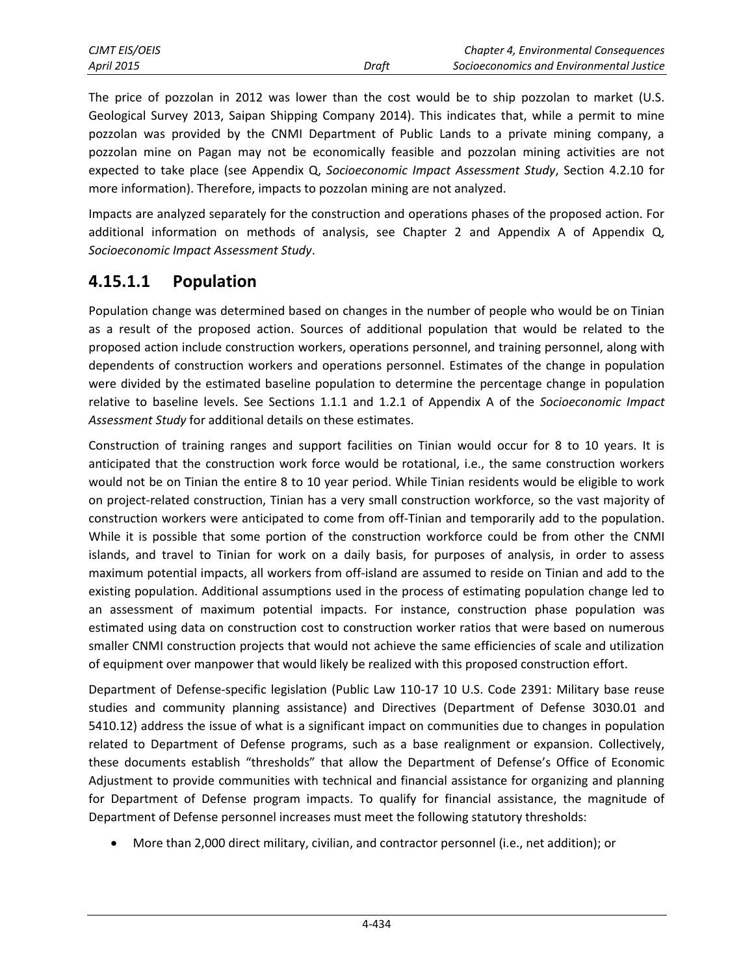The price of pozzolan in 2012 was lower than the cost would be to ship pozzolan to market (U.S. Geological Survey 2013, Saipan Shipping Company 2014). This indicates that, while a permit to mine pozzolan was provided by the CNMI Department of Public Lands to a private mining company, a pozzolan mine on Pagan may not be economically feasible and pozzolan mining activities are not expected to take place (see Appendix Q, *Socioeconomic Impact Assessment Study*, Section 4.2.10 for more information). Therefore, impacts to pozzolan mining are not analyzed.

Impacts are analyzed separately for the construction and operations phases of the proposed action. For additional information on methods of analysis, see Chapter 2 and Appendix A of Appendix Q, *Socioeconomic Impact Assessment Study*.

# <span id="page-1-0"></span>**4.15.1.1 Population**

Population change was determined based on changes in the number of people who would be on Tinian as a result of the proposed action. Sources of additional population that would be related to the proposed action include construction workers, operations personnel, and training personnel, along with dependents of construction workers and operations personnel. Estimates of the change in population were divided by the estimated baseline population to determine the percentage change in population relative to baseline levels. See Sections 1.1.1 and 1.2.1 of Appendix A of the *Socioeconomic Impact Assessment Study* for additional details on these estimates.

Construction of training ranges and support facilities on Tinian would occur for 8 to 10 years. It is anticipated that the construction work force would be rotational, i.e., the same construction workers would not be on Tinian the entire 8 to 10 year period. While Tinian residents would be eligible to work on project-related construction, Tinian has a very small construction workforce, so the vast majority of construction workers were anticipated to come from off-Tinian and temporarily add to the population. While it is possible that some portion of the construction workforce could be from other the CNMI islands, and travel to Tinian for work on a daily basis, for purposes of analysis, in order to assess maximum potential impacts, all workers from off-island are assumed to reside on Tinian and add to the existing population. Additional assumptions used in the process of estimating population change led to an assessment of maximum potential impacts. For instance, construction phase population was estimated using data on construction cost to construction worker ratios that were based on numerous smaller CNMI construction projects that would not achieve the same efficiencies of scale and utilization of equipment over manpower that would likely be realized with this proposed construction effort.

Department of Defense-specific legislation (Public Law 110-17 10 U.S. Code 2391: Military base reuse studies and community planning assistance) and Directives (Department of Defense 3030.01 and 5410.12) address the issue of what is a significant impact on communities due to changes in population related to Department of Defense programs, such as a base realignment or expansion. Collectively, these documents establish "thresholds" that allow the Department of Defense's Office of Economic Adjustment to provide communities with technical and financial assistance for organizing and planning for Department of Defense program impacts. To qualify for financial assistance, the magnitude of Department of Defense personnel increases must meet the following statutory thresholds:

More than 2,000 direct military, civilian, and contractor personnel (i.e., net addition); or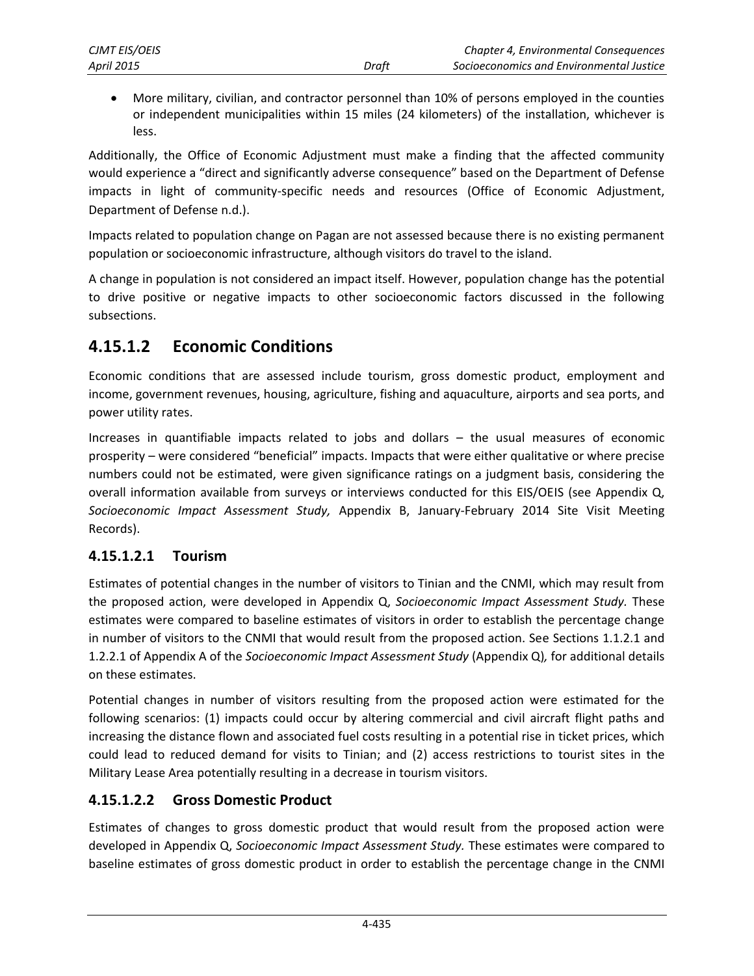More military, civilian, and contractor personnel than 10% of persons employed in the counties or independent municipalities within 15 miles (24 kilometers) of the installation, whichever is less.

Additionally, the Office of Economic Adjustment must make a finding that the affected community would experience a "direct and significantly adverse consequence" based on the Department of Defense impacts in light of community-specific needs and resources (Office of Economic Adjustment, Department of Defense n.d.).

Impacts related to population change on Pagan are not assessed because there is no existing permanent population or socioeconomic infrastructure, although visitors do travel to the island.

A change in population is not considered an impact itself. However, population change has the potential to drive positive or negative impacts to other socioeconomic factors discussed in the following subsections.

# **4.15.1.2 Economic Conditions**

Economic conditions that are assessed include tourism, gross domestic product, employment and income, government revenues, housing, agriculture, fishing and aquaculture, airports and sea ports, and power utility rates.

Increases in quantifiable impacts related to jobs and dollars – the usual measures of economic prosperity – were considered "beneficial" impacts. Impacts that were either qualitative or where precise numbers could not be estimated, were given significance ratings on a judgment basis, considering the overall information available from surveys or interviews conducted for this EIS/OEIS (see Appendix Q, *Socioeconomic Impact Assessment Study,* Appendix B, January-February 2014 Site Visit Meeting Records).

# **4.15.1.2.1 Tourism**

Estimates of potential changes in the number of visitors to Tinian and the CNMI, which may result from the proposed action, were developed in Appendix Q, *Socioeconomic Impact Assessment Study.* These estimates were compared to baseline estimates of visitors in order to establish the percentage change in number of visitors to the CNMI that would result from the proposed action. See Sections 1.1.2.1 and 1.2.2.1 of Appendix A of the *Socioeconomic Impact Assessment Study* (Appendix Q)*,* for additional details on these estimates.

Potential changes in number of visitors resulting from the proposed action were estimated for the following scenarios: (1) impacts could occur by altering commercial and civil aircraft flight paths and increasing the distance flown and associated fuel costs resulting in a potential rise in ticket prices, which could lead to reduced demand for visits to Tinian; and (2) access restrictions to tourist sites in the Military Lease Area potentially resulting in a decrease in tourism visitors.

# **4.15.1.2.2 Gross Domestic Product**

Estimates of changes to gross domestic product that would result from the proposed action were developed in Appendix Q, *Socioeconomic Impact Assessment Study.* These estimates were compared to baseline estimates of gross domestic product in order to establish the percentage change in the CNMI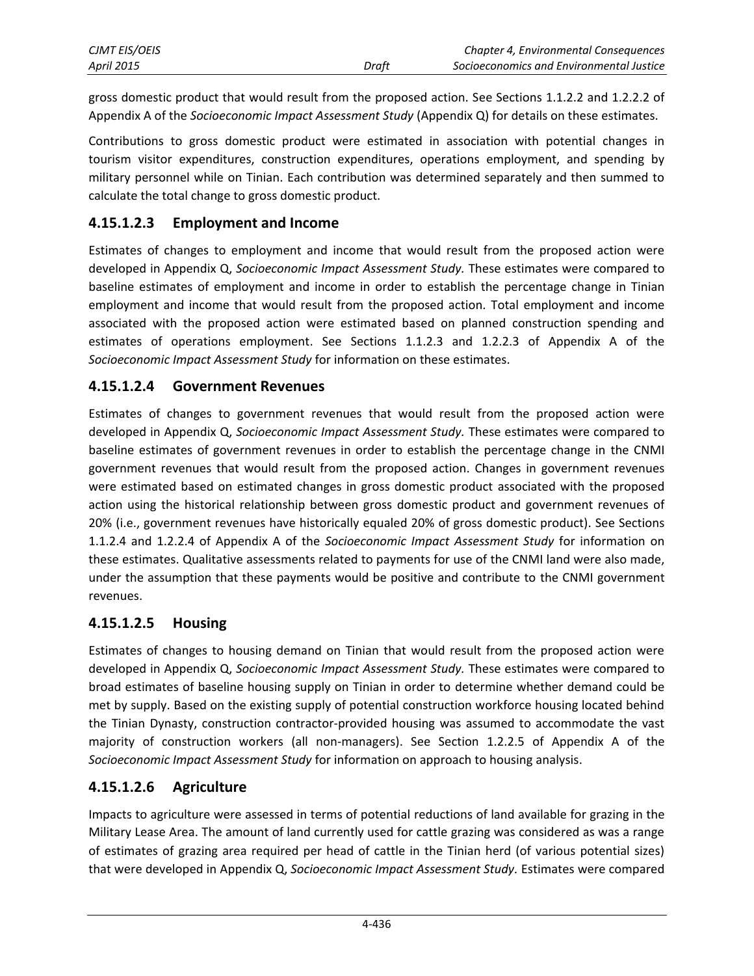| <b>CJMT EIS/OEIS</b> |       | Chapter 4, Environmental Consequences    |
|----------------------|-------|------------------------------------------|
| <b>April 2015</b>    | Draft | Socioeconomics and Environmental Justice |

gross domestic product that would result from the proposed action. See Sections 1.1.2.2 and 1.2.2.2 of Appendix A of the *Socioeconomic Impact Assessment Study* (Appendix Q) for details on these estimates.

Contributions to gross domestic product were estimated in association with potential changes in tourism visitor expenditures, construction expenditures, operations employment, and spending by military personnel while on Tinian. Each contribution was determined separately and then summed to calculate the total change to gross domestic product.

### **4.15.1.2.3 Employment and Income**

Estimates of changes to employment and income that would result from the proposed action were developed in Appendix Q, *Socioeconomic Impact Assessment Study.* These estimates were compared to baseline estimates of employment and income in order to establish the percentage change in Tinian employment and income that would result from the proposed action. Total employment and income associated with the proposed action were estimated based on planned construction spending and estimates of operations employment. See Sections 1.1.2.3 and 1.2.2.3 of Appendix A of the *Socioeconomic Impact Assessment Study* for information on these estimates.

### **4.15.1.2.4 Government Revenues**

Estimates of changes to government revenues that would result from the proposed action were developed in Appendix Q, *Socioeconomic Impact Assessment Study.* These estimates were compared to baseline estimates of government revenues in order to establish the percentage change in the CNMI government revenues that would result from the proposed action. Changes in government revenues were estimated based on estimated changes in gross domestic product associated with the proposed action using the historical relationship between gross domestic product and government revenues of 20% (i.e., government revenues have historically equaled 20% of gross domestic product). See Sections 1.1.2.4 and 1.2.2.4 of Appendix A of the *Socioeconomic Impact Assessment Study* for information on these estimates. Qualitative assessments related to payments for use of the CNMI land were also made, under the assumption that these payments would be positive and contribute to the CNMI government revenues.

### **4.15.1.2.5 Housing**

Estimates of changes to housing demand on Tinian that would result from the proposed action were developed in Appendix Q, *Socioeconomic Impact Assessment Study.* These estimates were compared to broad estimates of baseline housing supply on Tinian in order to determine whether demand could be met by supply. Based on the existing supply of potential construction workforce housing located behind the Tinian Dynasty, construction contractor-provided housing was assumed to accommodate the vast majority of construction workers (all non-managers). See Section 1.2.2.5 of Appendix A of the *Socioeconomic Impact Assessment Study* for information on approach to housing analysis.

# **4.15.1.2.6 Agriculture**

Impacts to agriculture were assessed in terms of potential reductions of land available for grazing in the Military Lease Area. The amount of land currently used for cattle grazing was considered as was a range of estimates of grazing area required per head of cattle in the Tinian herd (of various potential sizes) that were developed in Appendix Q, *Socioeconomic Impact Assessment Study.* Estimates were compared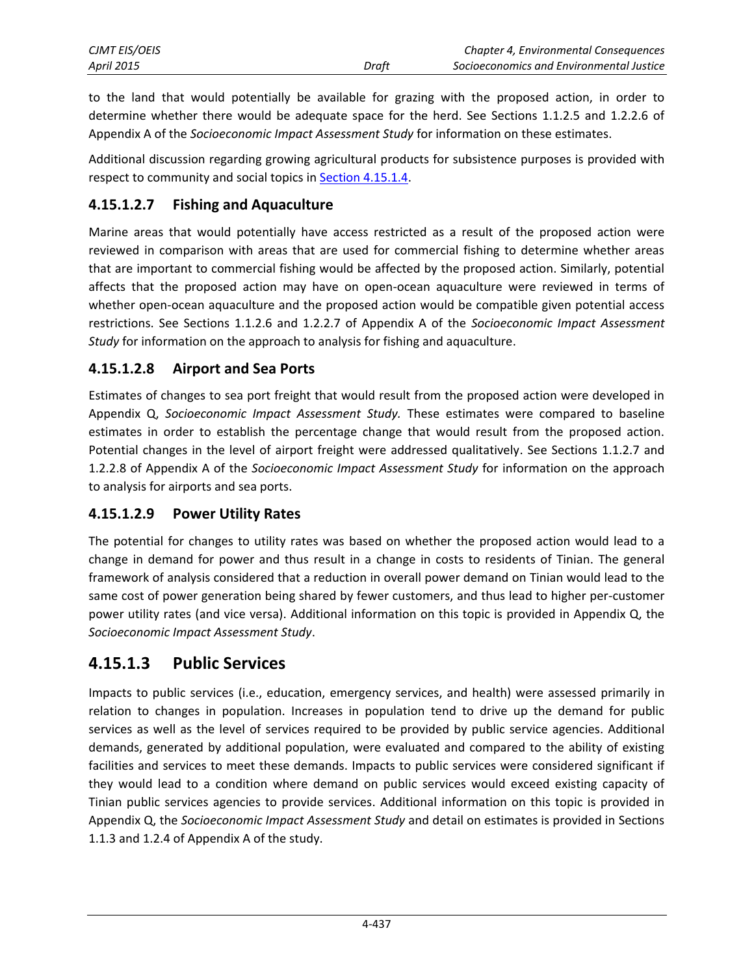| <b>CJMT EIS/OEIS</b> |       | Chapter 4, Environmental Consequences    |
|----------------------|-------|------------------------------------------|
| <b>April 2015</b>    | Draft | Socioeconomics and Environmental Justice |

to the land that would potentially be available for grazing with the proposed action, in order to determine whether there would be adequate space for the herd. See Sections 1.1.2.5 and 1.2.2.6 of Appendix A of the *Socioeconomic Impact Assessment Study* for information on these estimates.

Additional discussion regarding growing agricultural products for subsistence purposes is provided with respect to community and social topics in [Section 4.15.1.4.](#page-5-0)

## **4.15.1.2.7 Fishing and Aquaculture**

Marine areas that would potentially have access restricted as a result of the proposed action were reviewed in comparison with areas that are used for commercial fishing to determine whether areas that are important to commercial fishing would be affected by the proposed action. Similarly, potential affects that the proposed action may have on open-ocean aquaculture were reviewed in terms of whether open-ocean aquaculture and the proposed action would be compatible given potential access restrictions. See Sections 1.1.2.6 and 1.2.2.7 of Appendix A of the *Socioeconomic Impact Assessment Study* for information on the approach to analysis for fishing and aquaculture.

### **4.15.1.2.8 Airport and Sea Ports**

Estimates of changes to sea port freight that would result from the proposed action were developed in Appendix Q, *Socioeconomic Impact Assessment Study.* These estimates were compared to baseline estimates in order to establish the percentage change that would result from the proposed action. Potential changes in the level of airport freight were addressed qualitatively. See Sections 1.1.2.7 and 1.2.2.8 of Appendix A of the *Socioeconomic Impact Assessment Study* for information on the approach to analysis for airports and sea ports.

### **4.15.1.2.9 Power Utility Rates**

The potential for changes to utility rates was based on whether the proposed action would lead to a change in demand for power and thus result in a change in costs to residents of Tinian. The general framework of analysis considered that a reduction in overall power demand on Tinian would lead to the same cost of power generation being shared by fewer customers, and thus lead to higher per-customer power utility rates (and vice versa). Additional information on this topic is provided in Appendix Q, the *Socioeconomic Impact Assessment Study*.

# **4.15.1.3 Public Services**

Impacts to public services (i.e., education, emergency services, and health) were assessed primarily in relation to changes in population. Increases in population tend to drive up the demand for public services as well as the level of services required to be provided by public service agencies. Additional demands, generated by additional population, were evaluated and compared to the ability of existing facilities and services to meet these demands. Impacts to public services were considered significant if they would lead to a condition where demand on public services would exceed existing capacity of Tinian public services agencies to provide services. Additional information on this topic is provided in Appendix Q, the *Socioeconomic Impact Assessment Study* and detail on estimates is provided in Sections 1.1.3 and 1.2.4 of Appendix A of the study.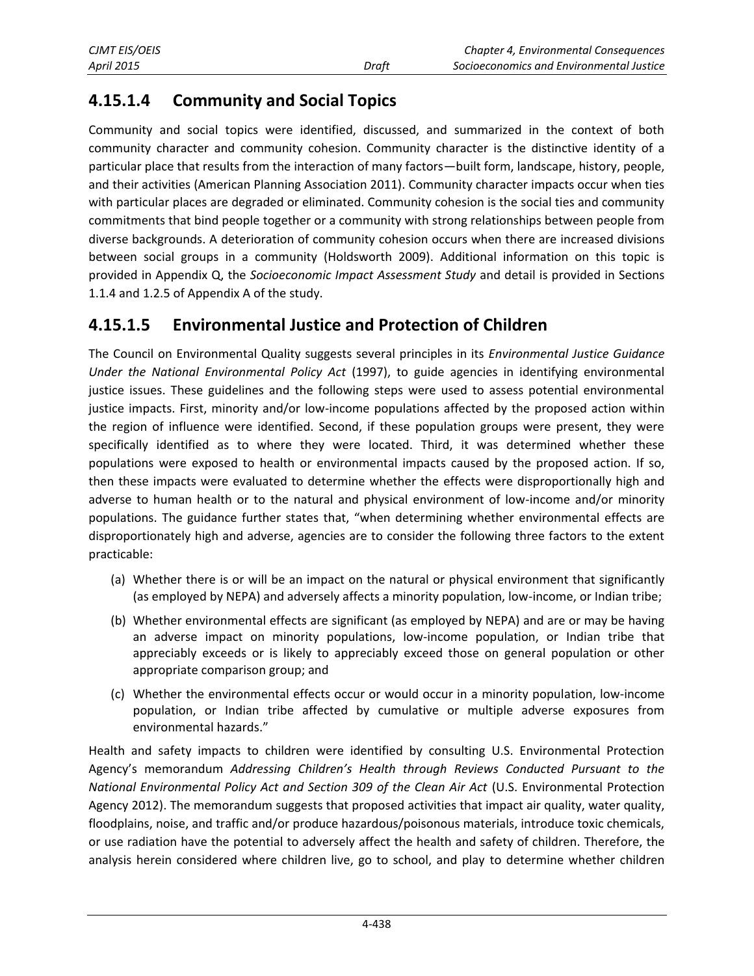# <span id="page-5-0"></span>**4.15.1.4 Community and Social Topics**

Community and social topics were identified, discussed, and summarized in the context of both community character and community cohesion. Community character is the distinctive identity of a particular place that results from the interaction of many factors—built form, landscape, history, people, and their activities (American Planning Association 2011). Community character impacts occur when ties with particular places are degraded or eliminated. Community cohesion is the social ties and community commitments that bind people together or a community with strong relationships between people from diverse backgrounds. A deterioration of community cohesion occurs when there are increased divisions between social groups in a community (Holdsworth 2009). Additional information on this topic is provided in Appendix Q, the *Socioeconomic Impact Assessment Study* and detail is provided in Sections 1.1.4 and 1.2.5 of Appendix A of the study.

# **4.15.1.5 Environmental Justice and Protection of Children**

The Council on Environmental Quality suggests several principles in its *Environmental Justice Guidance Under the National Environmental Policy Act* (1997), to guide agencies in identifying environmental justice issues. These guidelines and the following steps were used to assess potential environmental justice impacts. First, minority and/or low-income populations affected by the proposed action within the region of influence were identified. Second, if these population groups were present, they were specifically identified as to where they were located. Third, it was determined whether these populations were exposed to health or environmental impacts caused by the proposed action. If so, then these impacts were evaluated to determine whether the effects were disproportionally high and adverse to human health or to the natural and physical environment of low-income and/or minority populations. The guidance further states that, "when determining whether environmental effects are disproportionately high and adverse, agencies are to consider the following three factors to the extent practicable:

- (a) Whether there is or will be an impact on the natural or physical environment that significantly (as employed by NEPA) and adversely affects a minority population, low-income, or Indian tribe;
- (b) Whether environmental effects are significant (as employed by NEPA) and are or may be having an adverse impact on minority populations, low-income population, or Indian tribe that appreciably exceeds or is likely to appreciably exceed those on general population or other appropriate comparison group; and
- (c) Whether the environmental effects occur or would occur in a minority population, low-income population, or Indian tribe affected by cumulative or multiple adverse exposures from environmental hazards."

Health and safety impacts to children were identified by consulting U.S. Environmental Protection Agency's memorandum *Addressing Children's Health through Reviews Conducted Pursuant to the National Environmental Policy Act and Section 309 of the Clean Air Act* (U.S. Environmental Protection Agency 2012). The memorandum suggests that proposed activities that impact air quality, water quality, floodplains, noise, and traffic and/or produce hazardous/poisonous materials, introduce toxic chemicals, or use radiation have the potential to adversely affect the health and safety of children. Therefore, the analysis herein considered where children live, go to school, and play to determine whether children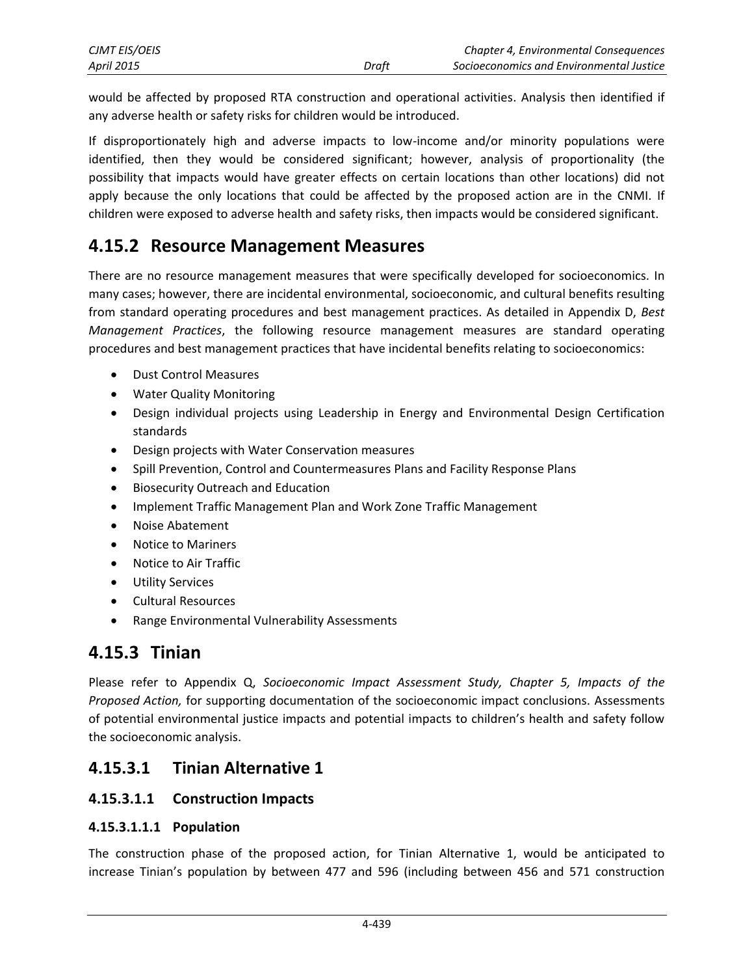| CJMT EIS/OEIS     |       | Chapter 4, Environmental Consequences    |
|-------------------|-------|------------------------------------------|
| <b>April 2015</b> | Draft | Socioeconomics and Environmental Justice |

would be affected by proposed RTA construction and operational activities. Analysis then identified if any adverse health or safety risks for children would be introduced.

If disproportionately high and adverse impacts to low-income and/or minority populations were identified, then they would be considered significant; however, analysis of proportionality (the possibility that impacts would have greater effects on certain locations than other locations) did not apply because the only locations that could be affected by the proposed action are in the CNMI. If children were exposed to adverse health and safety risks, then impacts would be considered significant.

# **4.15.2 Resource Management Measures**

There are no resource management measures that were specifically developed for socioeconomics. In many cases; however, there are incidental environmental, socioeconomic, and cultural benefits resulting from standard operating procedures and best management practices. As detailed in Appendix D, *Best Management Practices*, the following resource management measures are standard operating procedures and best management practices that have incidental benefits relating to socioeconomics:

- Dust Control Measures
- Water Quality Monitoring
- Design individual projects using Leadership in Energy and Environmental Design Certification standards
- Design projects with Water Conservation measures
- Spill Prevention, Control and Countermeasures Plans and Facility Response Plans
- Biosecurity Outreach and Education
- Implement Traffic Management Plan and Work Zone Traffic Management
- Noise Abatement
- Notice to Mariners
- Notice to Air Traffic
- Utility Services
- Cultural Resources
- Range Environmental Vulnerability Assessments

# **4.15.3 Tinian**

Please refer to Appendix Q, *Socioeconomic Impact Assessment Study, Chapter 5, Impacts of the Proposed Action,* for supporting documentation of the socioeconomic impact conclusions. Assessments of potential environmental justice impacts and potential impacts to children's health and safety follow the socioeconomic analysis.

# **4.15.3.1 Tinian Alternative 1**

### <span id="page-6-0"></span>**4.15.3.1.1 Construction Impacts**

#### **4.15.3.1.1.1 Population**

The construction phase of the proposed action, for Tinian Alternative 1, would be anticipated to increase Tinian's population by between 477 and 596 (including between 456 and 571 construction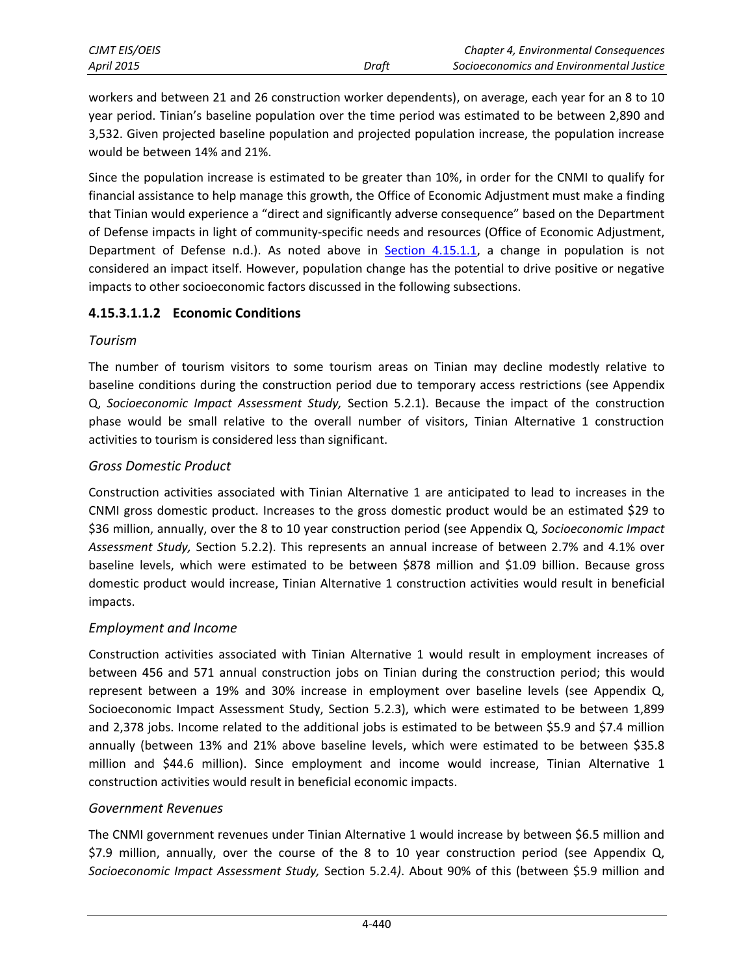| <b>CJMT EIS/OEIS</b> |       | <b>Chapter 4, Environmental Consequences</b> |
|----------------------|-------|----------------------------------------------|
| April 2015           | Draft | Socioeconomics and Environmental Justice     |

workers and between 21 and 26 construction worker dependents), on average, each year for an 8 to 10 year period. Tinian's baseline population over the time period was estimated to be between 2,890 and 3,532. Given projected baseline population and projected population increase, the population increase would be between 14% and 21%.

Since the population increase is estimated to be greater than 10%, in order for the CNMI to qualify for financial assistance to help manage this growth, the Office of Economic Adjustment must make a finding that Tinian would experience a "direct and significantly adverse consequence" based on the Department of Defense impacts in light of community-specific needs and resources (Office of Economic Adjustment, Department of Defense n.d.). As noted above in **Section 4.15.1.1**, a change in population is not considered an impact itself. However, population change has the potential to drive positive or negative impacts to other socioeconomic factors discussed in the following subsections.

#### **4.15.3.1.1.2 Economic Conditions**

#### *Tourism*

The number of tourism visitors to some tourism areas on Tinian may decline modestly relative to baseline conditions during the construction period due to temporary access restrictions (see Appendix Q, *Socioeconomic Impact Assessment Study,* Section 5.2.1). Because the impact of the construction phase would be small relative to the overall number of visitors, Tinian Alternative 1 construction activities to tourism is considered less than significant.

### *Gross Domestic Product*

Construction activities associated with Tinian Alternative 1 are anticipated to lead to increases in the CNMI gross domestic product. Increases to the gross domestic product would be an estimated \$29 to \$36 million, annually, over the 8 to 10 year construction period (see Appendix Q, *Socioeconomic Impact Assessment Study,* Section 5.2.2). This represents an annual increase of between 2.7% and 4.1% over baseline levels, which were estimated to be between \$878 million and \$1.09 billion. Because gross domestic product would increase, Tinian Alternative 1 construction activities would result in beneficial impacts.

### *Employment and Income*

Construction activities associated with Tinian Alternative 1 would result in employment increases of between 456 and 571 annual construction jobs on Tinian during the construction period; this would represent between a 19% and 30% increase in employment over baseline levels (see Appendix Q, Socioeconomic Impact Assessment Study, Section 5.2.3), which were estimated to be between 1,899 and 2,378 jobs. Income related to the additional jobs is estimated to be between \$5.9 and \$7.4 million annually (between 13% and 21% above baseline levels, which were estimated to be between \$35.8 million and \$44.6 million). Since employment and income would increase, Tinian Alternative 1 construction activities would result in beneficial economic impacts.

### *Government Revenues*

The CNMI government revenues under Tinian Alternative 1 would increase by between \$6.5 million and \$7.9 million, annually, over the course of the 8 to 10 year construction period (see Appendix Q, *Socioeconomic Impact Assessment Study,* Section 5.2.4*)*. About 90% of this (between \$5.9 million and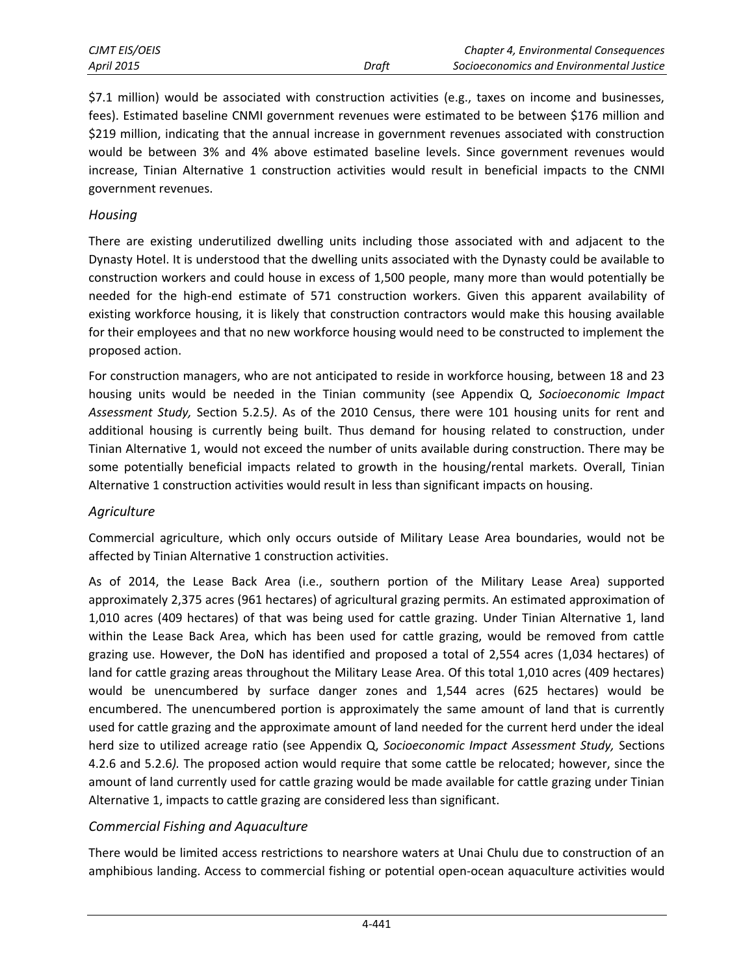\$7.1 million) would be associated with construction activities (e.g., taxes on income and businesses, fees). Estimated baseline CNMI government revenues were estimated to be between \$176 million and \$219 million, indicating that the annual increase in government revenues associated with construction would be between 3% and 4% above estimated baseline levels. Since government revenues would increase, Tinian Alternative 1 construction activities would result in beneficial impacts to the CNMI government revenues.

#### *Housing*

There are existing underutilized dwelling units including those associated with and adjacent to the Dynasty Hotel. It is understood that the dwelling units associated with the Dynasty could be available to construction workers and could house in excess of 1,500 people, many more than would potentially be needed for the high-end estimate of 571 construction workers. Given this apparent availability of existing workforce housing, it is likely that construction contractors would make this housing available for their employees and that no new workforce housing would need to be constructed to implement the proposed action.

For construction managers, who are not anticipated to reside in workforce housing, between 18 and 23 housing units would be needed in the Tinian community (see Appendix Q, *Socioeconomic Impact Assessment Study,* Section 5.2.5*)*. As of the 2010 Census, there were 101 housing units for rent and additional housing is currently being built. Thus demand for housing related to construction, under Tinian Alternative 1, would not exceed the number of units available during construction. There may be some potentially beneficial impacts related to growth in the housing/rental markets. Overall, Tinian Alternative 1 construction activities would result in less than significant impacts on housing.

#### *Agriculture*

Commercial agriculture, which only occurs outside of Military Lease Area boundaries, would not be affected by Tinian Alternative 1 construction activities.

As of 2014, the Lease Back Area (i.e., southern portion of the Military Lease Area) supported approximately 2,375 acres (961 hectares) of agricultural grazing permits. An estimated approximation of 1,010 acres (409 hectares) of that was being used for cattle grazing. Under Tinian Alternative 1, land within the Lease Back Area, which has been used for cattle grazing, would be removed from cattle grazing use. However, the DoN has identified and proposed a total of 2,554 acres (1,034 hectares) of land for cattle grazing areas throughout the Military Lease Area. Of this total 1,010 acres (409 hectares) would be unencumbered by surface danger zones and 1,544 acres (625 hectares) would be encumbered. The unencumbered portion is approximately the same amount of land that is currently used for cattle grazing and the approximate amount of land needed for the current herd under the ideal herd size to utilized acreage ratio (see Appendix Q, *Socioeconomic Impact Assessment Study,* Sections 4.2.6 and 5.2.6*).* The proposed action would require that some cattle be relocated; however, since the amount of land currently used for cattle grazing would be made available for cattle grazing under Tinian Alternative 1, impacts to cattle grazing are considered less than significant.

#### *Commercial Fishing and Aquaculture*

There would be limited access restrictions to nearshore waters at Unai Chulu due to construction of an amphibious landing. Access to commercial fishing or potential open-ocean aquaculture activities would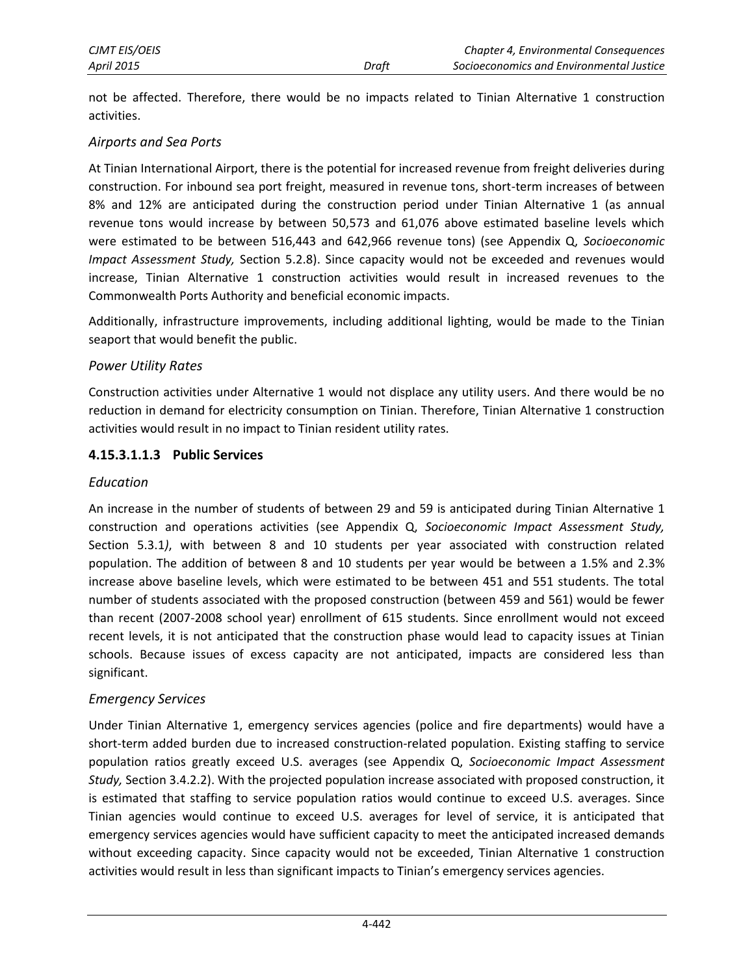not be affected. Therefore, there would be no impacts related to Tinian Alternative 1 construction activities.

#### *Airports and Sea Ports*

At Tinian International Airport, there is the potential for increased revenue from freight deliveries during construction. For inbound sea port freight, measured in revenue tons, short-term increases of between 8% and 12% are anticipated during the construction period under Tinian Alternative 1 (as annual revenue tons would increase by between 50,573 and 61,076 above estimated baseline levels which were estimated to be between 516,443 and 642,966 revenue tons) (see Appendix Q, *Socioeconomic Impact Assessment Study,* Section 5.2.8). Since capacity would not be exceeded and revenues would increase, Tinian Alternative 1 construction activities would result in increased revenues to the Commonwealth Ports Authority and beneficial economic impacts.

Additionally, infrastructure improvements, including additional lighting, would be made to the Tinian seaport that would benefit the public.

#### *Power Utility Rates*

Construction activities under Alternative 1 would not displace any utility users. And there would be no reduction in demand for electricity consumption on Tinian. Therefore, Tinian Alternative 1 construction activities would result in no impact to Tinian resident utility rates.

#### **4.15.3.1.1.3 Public Services**

#### *Education*

An increase in the number of students of between 29 and 59 is anticipated during Tinian Alternative 1 construction and operations activities (see Appendix Q, *Socioeconomic Impact Assessment Study,*  Section 5.3.1*)*, with between 8 and 10 students per year associated with construction related population. The addition of between 8 and 10 students per year would be between a 1.5% and 2.3% increase above baseline levels, which were estimated to be between 451 and 551 students. The total number of students associated with the proposed construction (between 459 and 561) would be fewer than recent (2007-2008 school year) enrollment of 615 students. Since enrollment would not exceed recent levels, it is not anticipated that the construction phase would lead to capacity issues at Tinian schools. Because issues of excess capacity are not anticipated, impacts are considered less than significant.

#### *Emergency Services*

Under Tinian Alternative 1, emergency services agencies (police and fire departments) would have a short-term added burden due to increased construction-related population. Existing staffing to service population ratios greatly exceed U.S. averages (see Appendix Q, *Socioeconomic Impact Assessment Study,* Section 3.4.2.2). With the projected population increase associated with proposed construction, it is estimated that staffing to service population ratios would continue to exceed U.S. averages. Since Tinian agencies would continue to exceed U.S. averages for level of service, it is anticipated that emergency services agencies would have sufficient capacity to meet the anticipated increased demands without exceeding capacity. Since capacity would not be exceeded, Tinian Alternative 1 construction activities would result in less than significant impacts to Tinian's emergency services agencies.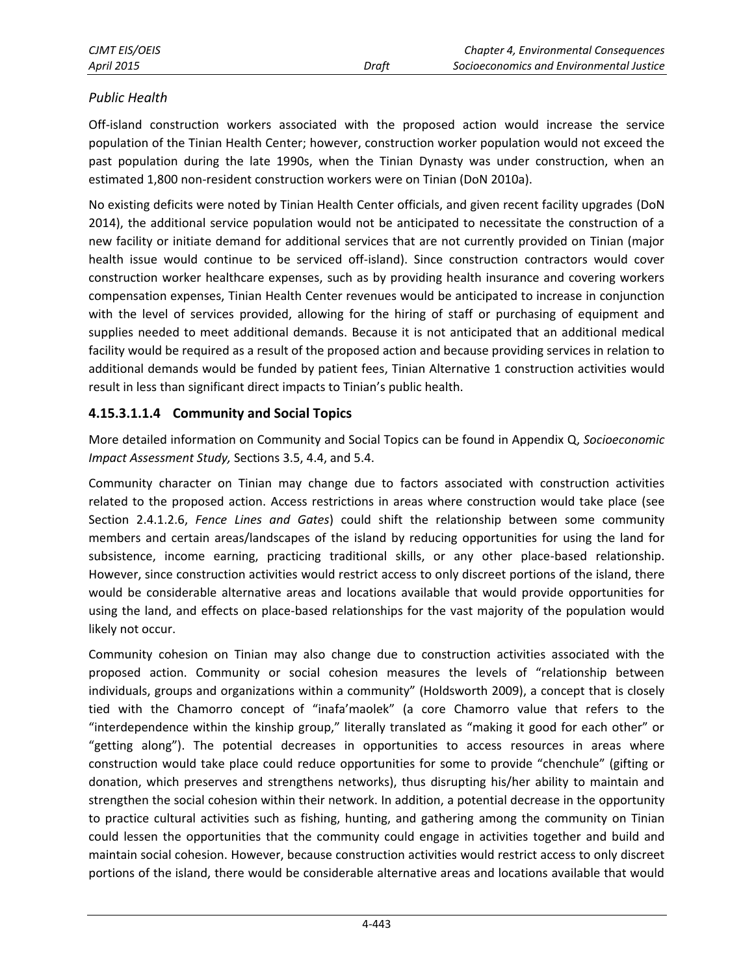### *Public Health*

Off-island construction workers associated with the proposed action would increase the service population of the Tinian Health Center; however, construction worker population would not exceed the past population during the late 1990s, when the Tinian Dynasty was under construction, when an estimated 1,800 non-resident construction workers were on Tinian (DoN 2010a).

No existing deficits were noted by Tinian Health Center officials, and given recent facility upgrades (DoN 2014), the additional service population would not be anticipated to necessitate the construction of a new facility or initiate demand for additional services that are not currently provided on Tinian (major health issue would continue to be serviced off-island). Since construction contractors would cover construction worker healthcare expenses, such as by providing health insurance and covering workers compensation expenses, Tinian Health Center revenues would be anticipated to increase in conjunction with the level of services provided, allowing for the hiring of staff or purchasing of equipment and supplies needed to meet additional demands. Because it is not anticipated that an additional medical facility would be required as a result of the proposed action and because providing services in relation to additional demands would be funded by patient fees, Tinian Alternative 1 construction activities would result in less than significant direct impacts to Tinian's public health.

#### **4.15.3.1.1.4 Community and Social Topics**

More detailed information on Community and Social Topics can be found in Appendix Q, *Socioeconomic Impact Assessment Study,* Sections 3.5, 4.4, and 5.4.

Community character on Tinian may change due to factors associated with construction activities related to the proposed action. Access restrictions in areas where construction would take place (see Section 2.4.1.2.6, *Fence Lines and Gates*) could shift the relationship between some community members and certain areas/landscapes of the island by reducing opportunities for using the land for subsistence, income earning, practicing traditional skills, or any other place-based relationship. However, since construction activities would restrict access to only discreet portions of the island, there would be considerable alternative areas and locations available that would provide opportunities for using the land, and effects on place-based relationships for the vast majority of the population would likely not occur.

Community cohesion on Tinian may also change due to construction activities associated with the proposed action. Community or social cohesion measures the levels of "relationship between individuals, groups and organizations within a community" (Holdsworth 2009), a concept that is closely tied with the Chamorro concept of "inafa'maolek" (a core Chamorro value that refers to the "interdependence within the kinship group," literally translated as "making it good for each other" or "getting along"). The potential decreases in opportunities to access resources in areas where construction would take place could reduce opportunities for some to provide "chenchule" (gifting or donation, which preserves and strengthens networks), thus disrupting his/her ability to maintain and strengthen the social cohesion within their network. In addition, a potential decrease in the opportunity to practice cultural activities such as fishing, hunting, and gathering among the community on Tinian could lessen the opportunities that the community could engage in activities together and build and maintain social cohesion. However, because construction activities would restrict access to only discreet portions of the island, there would be considerable alternative areas and locations available that would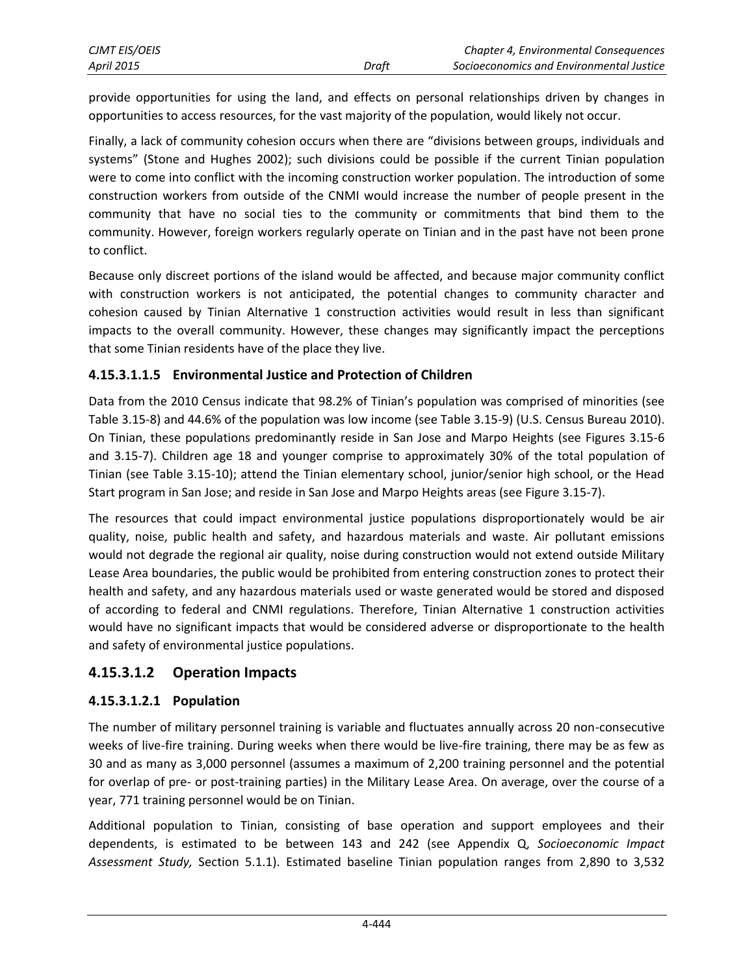provide opportunities for using the land, and effects on personal relationships driven by changes in opportunities to access resources, for the vast majority of the population, would likely not occur.

Finally, a lack of community cohesion occurs when there are "divisions between groups, individuals and systems" (Stone and Hughes 2002); such divisions could be possible if the current Tinian population were to come into conflict with the incoming construction worker population. The introduction of some construction workers from outside of the CNMI would increase the number of people present in the community that have no social ties to the community or commitments that bind them to the community. However, foreign workers regularly operate on Tinian and in the past have not been prone to conflict.

Because only discreet portions of the island would be affected, and because major community conflict with construction workers is not anticipated, the potential changes to community character and cohesion caused by Tinian Alternative 1 construction activities would result in less than significant impacts to the overall community. However, these changes may significantly impact the perceptions that some Tinian residents have of the place they live.

### **4.15.3.1.1.5 Environmental Justice and Protection of Children**

Data from the 2010 Census indicate that 98.2% of Tinian's population was comprised of minorities (see Table 3.15-8) and 44.6% of the population was low income (see Table 3.15-9) (U.S. Census Bureau 2010). On Tinian, these populations predominantly reside in San Jose and Marpo Heights (see Figures 3.15-6 and 3.15-7). Children age 18 and younger comprise to approximately 30% of the total population of Tinian (see Table 3.15-10); attend the Tinian elementary school, junior/senior high school, or the Head Start program in San Jose; and reside in San Jose and Marpo Heights areas (see Figure 3.15-7).

The resources that could impact environmental justice populations disproportionately would be air quality, noise, public health and safety, and hazardous materials and waste. Air pollutant emissions would not degrade the regional air quality, noise during construction would not extend outside Military Lease Area boundaries, the public would be prohibited from entering construction zones to protect their health and safety, and any hazardous materials used or waste generated would be stored and disposed of according to federal and CNMI regulations. Therefore, Tinian Alternative 1 construction activities would have no significant impacts that would be considered adverse or disproportionate to the health and safety of environmental justice populations.

### <span id="page-11-0"></span>**4.15.3.1.2 Operation Impacts**

### **4.15.3.1.2.1 Population**

The number of military personnel training is variable and fluctuates annually across 20 non-consecutive weeks of live-fire training. During weeks when there would be live-fire training, there may be as few as 30 and as many as 3,000 personnel (assumes a maximum of 2,200 training personnel and the potential for overlap of pre- or post-training parties) in the Military Lease Area. On average, over the course of a year, 771 training personnel would be on Tinian.

Additional population to Tinian, consisting of base operation and support employees and their dependents, is estimated to be between 143 and 242 (see Appendix Q, *Socioeconomic Impact Assessment Study,* Section 5.1.1). Estimated baseline Tinian population ranges from 2,890 to 3,532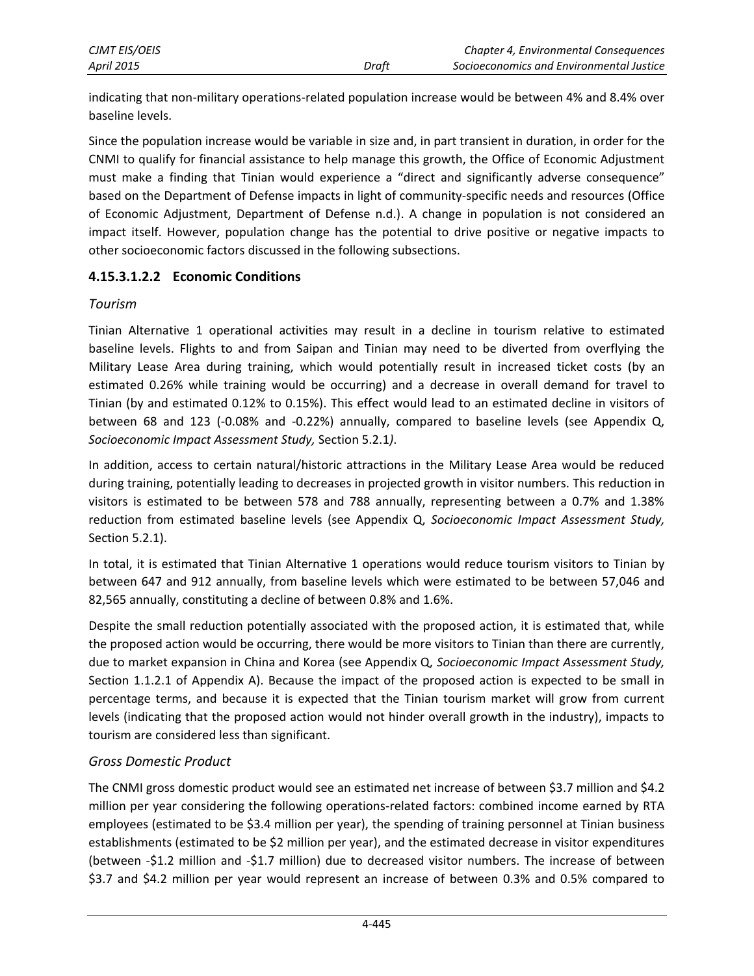| <b>CJMT EIS/OEIS</b> |       | Chapter 4, Environmental Consequences    |
|----------------------|-------|------------------------------------------|
| <b>April 2015</b>    | Draft | Socioeconomics and Environmental Justice |

indicating that non-military operations-related population increase would be between 4% and 8.4% over baseline levels.

Since the population increase would be variable in size and, in part transient in duration, in order for the CNMI to qualify for financial assistance to help manage this growth, the Office of Economic Adjustment must make a finding that Tinian would experience a "direct and significantly adverse consequence" based on the Department of Defense impacts in light of community-specific needs and resources (Office of Economic Adjustment, Department of Defense n.d.). A change in population is not considered an impact itself. However, population change has the potential to drive positive or negative impacts to other socioeconomic factors discussed in the following subsections.

#### **4.15.3.1.2.2 Economic Conditions**

#### *Tourism*

Tinian Alternative 1 operational activities may result in a decline in tourism relative to estimated baseline levels. Flights to and from Saipan and Tinian may need to be diverted from overflying the Military Lease Area during training, which would potentially result in increased ticket costs (by an estimated 0.26% while training would be occurring) and a decrease in overall demand for travel to Tinian (by and estimated 0.12% to 0.15%). This effect would lead to an estimated decline in visitors of between 68 and 123 (-0.08% and -0.22%) annually, compared to baseline levels (see Appendix Q, *Socioeconomic Impact Assessment Study,* Section 5.2.1*)*.

In addition, access to certain natural/historic attractions in the Military Lease Area would be reduced during training, potentially leading to decreases in projected growth in visitor numbers. This reduction in visitors is estimated to be between 578 and 788 annually, representing between a 0.7% and 1.38% reduction from estimated baseline levels (see Appendix Q, *Socioeconomic Impact Assessment Study,*  Section 5.2.1).

In total, it is estimated that Tinian Alternative 1 operations would reduce tourism visitors to Tinian by between 647 and 912 annually, from baseline levels which were estimated to be between 57,046 and 82,565 annually, constituting a decline of between 0.8% and 1.6%.

Despite the small reduction potentially associated with the proposed action, it is estimated that, while the proposed action would be occurring, there would be more visitors to Tinian than there are currently, due to market expansion in China and Korea (see Appendix Q, *Socioeconomic Impact Assessment Study,*  Section 1.1.2.1 of Appendix A). Because the impact of the proposed action is expected to be small in percentage terms, and because it is expected that the Tinian tourism market will grow from current levels (indicating that the proposed action would not hinder overall growth in the industry), impacts to tourism are considered less than significant.

### *Gross Domestic Product*

The CNMI gross domestic product would see an estimated net increase of between \$3.7 million and \$4.2 million per year considering the following operations-related factors: combined income earned by RTA employees (estimated to be \$3.4 million per year), the spending of training personnel at Tinian business establishments (estimated to be \$2 million per year), and the estimated decrease in visitor expenditures (between -\$1.2 million and -\$1.7 million) due to decreased visitor numbers. The increase of between \$3.7 and \$4.2 million per year would represent an increase of between 0.3% and 0.5% compared to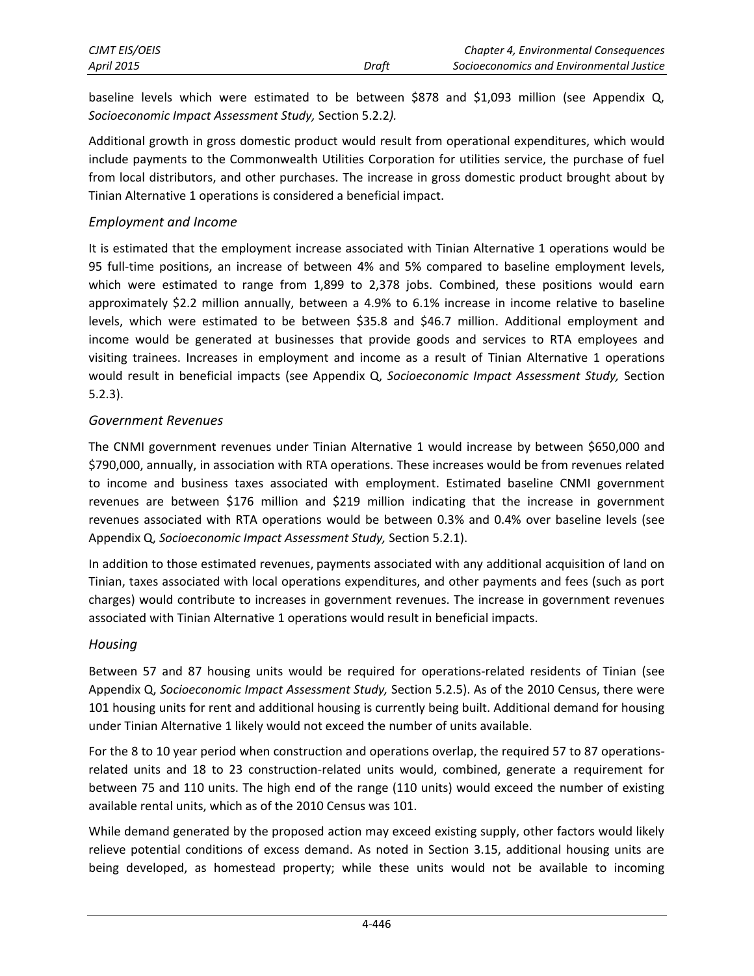baseline levels which were estimated to be between \$878 and \$1,093 million (see Appendix Q, *Socioeconomic Impact Assessment Study,* Section 5.2.2*).*

Additional growth in gross domestic product would result from operational expenditures, which would include payments to the Commonwealth Utilities Corporation for utilities service, the purchase of fuel from local distributors, and other purchases. The increase in gross domestic product brought about by Tinian Alternative 1 operations is considered a beneficial impact.

#### *Employment and Income*

It is estimated that the employment increase associated with Tinian Alternative 1 operations would be 95 full-time positions, an increase of between 4% and 5% compared to baseline employment levels, which were estimated to range from 1,899 to 2,378 jobs. Combined, these positions would earn approximately \$2.2 million annually, between a 4.9% to 6.1% increase in income relative to baseline levels, which were estimated to be between \$35.8 and \$46.7 million. Additional employment and income would be generated at businesses that provide goods and services to RTA employees and visiting trainees. Increases in employment and income as a result of Tinian Alternative 1 operations would result in beneficial impacts (see Appendix Q, *Socioeconomic Impact Assessment Study,* Section 5.2.3).

### *Government Revenues*

The CNMI government revenues under Tinian Alternative 1 would increase by between \$650,000 and \$790,000, annually, in association with RTA operations. These increases would be from revenues related to income and business taxes associated with employment. Estimated baseline CNMI government revenues are between \$176 million and \$219 million indicating that the increase in government revenues associated with RTA operations would be between 0.3% and 0.4% over baseline levels (see Appendix Q, *Socioeconomic Impact Assessment Study,* Section 5.2.1).

In addition to those estimated revenues, payments associated with any additional acquisition of land on Tinian, taxes associated with local operations expenditures, and other payments and fees (such as port charges) would contribute to increases in government revenues. The increase in government revenues associated with Tinian Alternative 1 operations would result in beneficial impacts.

#### *Housing*

Between 57 and 87 housing units would be required for operations-related residents of Tinian (see Appendix Q, *Socioeconomic Impact Assessment Study,* Section 5.2.5). As of the 2010 Census, there were 101 housing units for rent and additional housing is currently being built. Additional demand for housing under Tinian Alternative 1 likely would not exceed the number of units available.

For the 8 to 10 year period when construction and operations overlap, the required 57 to 87 operationsrelated units and 18 to 23 construction-related units would, combined, generate a requirement for between 75 and 110 units. The high end of the range (110 units) would exceed the number of existing available rental units, which as of the 2010 Census was 101.

While demand generated by the proposed action may exceed existing supply, other factors would likely relieve potential conditions of excess demand. As noted in Section 3.15, additional housing units are being developed, as homestead property; while these units would not be available to incoming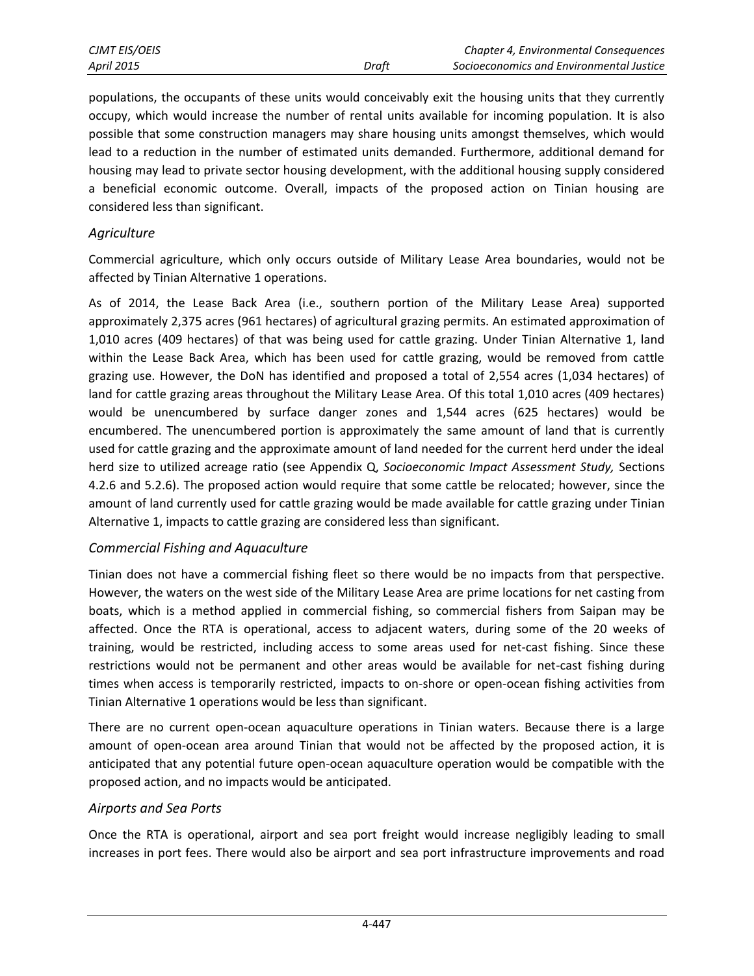| CJMT EIS/OEIS     |       | <b>Chapter 4, Environmental Consequences</b> |
|-------------------|-------|----------------------------------------------|
| <b>April 2015</b> | Draft | Socioeconomics and Environmental Justice     |

populations, the occupants of these units would conceivably exit the housing units that they currently occupy, which would increase the number of rental units available for incoming population. It is also possible that some construction managers may share housing units amongst themselves, which would lead to a reduction in the number of estimated units demanded. Furthermore, additional demand for housing may lead to private sector housing development, with the additional housing supply considered a beneficial economic outcome. Overall, impacts of the proposed action on Tinian housing are considered less than significant.

#### *Agriculture*

Commercial agriculture, which only occurs outside of Military Lease Area boundaries, would not be affected by Tinian Alternative 1 operations.

As of 2014, the Lease Back Area (i.e., southern portion of the Military Lease Area) supported approximately 2,375 acres (961 hectares) of agricultural grazing permits. An estimated approximation of 1,010 acres (409 hectares) of that was being used for cattle grazing. Under Tinian Alternative 1, land within the Lease Back Area, which has been used for cattle grazing, would be removed from cattle grazing use. However, the DoN has identified and proposed a total of 2,554 acres (1,034 hectares) of land for cattle grazing areas throughout the Military Lease Area. Of this total 1,010 acres (409 hectares) would be unencumbered by surface danger zones and 1,544 acres (625 hectares) would be encumbered. The unencumbered portion is approximately the same amount of land that is currently used for cattle grazing and the approximate amount of land needed for the current herd under the ideal herd size to utilized acreage ratio (see Appendix Q, *Socioeconomic Impact Assessment Study,* Sections 4.2.6 and 5.2.6). The proposed action would require that some cattle be relocated; however, since the amount of land currently used for cattle grazing would be made available for cattle grazing under Tinian Alternative 1, impacts to cattle grazing are considered less than significant.

#### *Commercial Fishing and Aquaculture*

Tinian does not have a commercial fishing fleet so there would be no impacts from that perspective. However, the waters on the west side of the Military Lease Area are prime locations for net casting from boats, which is a method applied in commercial fishing, so commercial fishers from Saipan may be affected. Once the RTA is operational, access to adjacent waters, during some of the 20 weeks of training, would be restricted, including access to some areas used for net-cast fishing. Since these restrictions would not be permanent and other areas would be available for net-cast fishing during times when access is temporarily restricted, impacts to on-shore or open-ocean fishing activities from Tinian Alternative 1 operations would be less than significant.

There are no current open-ocean aquaculture operations in Tinian waters. Because there is a large amount of open-ocean area around Tinian that would not be affected by the proposed action, it is anticipated that any potential future open-ocean aquaculture operation would be compatible with the proposed action, and no impacts would be anticipated.

### *Airports and Sea Ports*

Once the RTA is operational, airport and sea port freight would increase negligibly leading to small increases in port fees. There would also be airport and sea port infrastructure improvements and road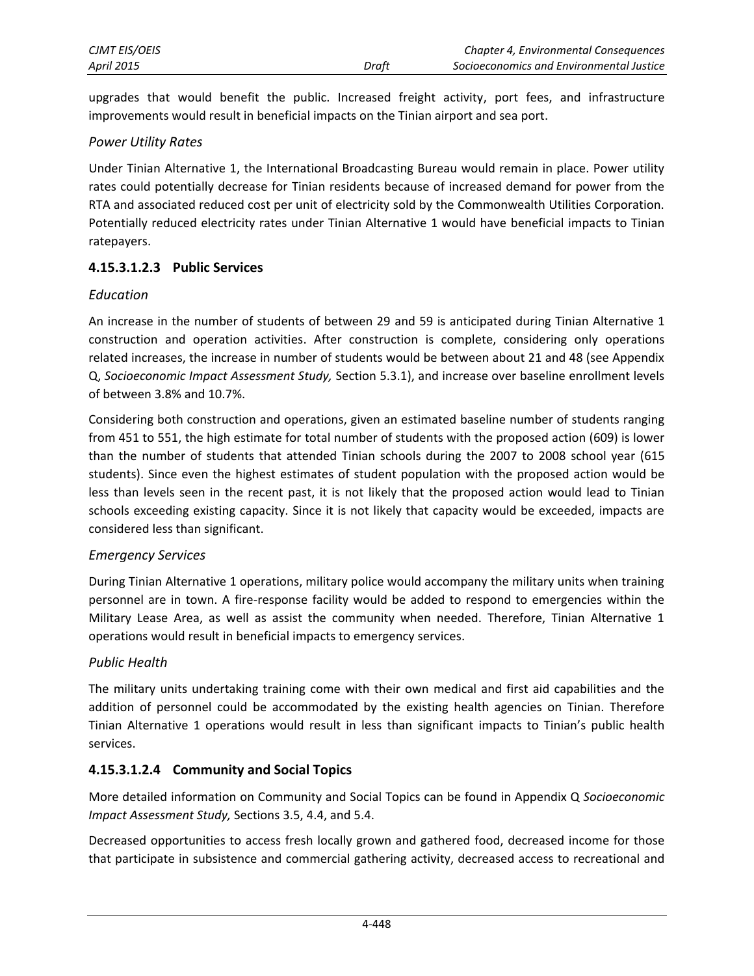upgrades that would benefit the public. Increased freight activity, port fees, and infrastructure improvements would result in beneficial impacts on the Tinian airport and sea port.

### *Power Utility Rates*

Under Tinian Alternative 1, the International Broadcasting Bureau would remain in place. Power utility rates could potentially decrease for Tinian residents because of increased demand for power from the RTA and associated reduced cost per unit of electricity sold by the Commonwealth Utilities Corporation. Potentially reduced electricity rates under Tinian Alternative 1 would have beneficial impacts to Tinian ratepayers.

### **4.15.3.1.2.3 Public Services**

#### *Education*

An increase in the number of students of between 29 and 59 is anticipated during Tinian Alternative 1 construction and operation activities. After construction is complete, considering only operations related increases, the increase in number of students would be between about 21 and 48 (see Appendix Q, *Socioeconomic Impact Assessment Study,* Section 5.3.1), and increase over baseline enrollment levels of between 3.8% and 10.7%.

Considering both construction and operations, given an estimated baseline number of students ranging from 451 to 551, the high estimate for total number of students with the proposed action (609) is lower than the number of students that attended Tinian schools during the 2007 to 2008 school year (615 students). Since even the highest estimates of student population with the proposed action would be less than levels seen in the recent past, it is not likely that the proposed action would lead to Tinian schools exceeding existing capacity. Since it is not likely that capacity would be exceeded, impacts are considered less than significant.

#### *Emergency Services*

During Tinian Alternative 1 operations, military police would accompany the military units when training personnel are in town. A fire-response facility would be added to respond to emergencies within the Military Lease Area, as well as assist the community when needed. Therefore, Tinian Alternative 1 operations would result in beneficial impacts to emergency services.

#### *Public Health*

The military units undertaking training come with their own medical and first aid capabilities and the addition of personnel could be accommodated by the existing health agencies on Tinian. Therefore Tinian Alternative 1 operations would result in less than significant impacts to Tinian's public health services.

### **4.15.3.1.2.4 Community and Social Topics**

More detailed information on Community and Social Topics can be found in Appendix Q *Socioeconomic Impact Assessment Study,* Sections 3.5, 4.4, and 5.4.

Decreased opportunities to access fresh locally grown and gathered food, decreased income for those that participate in subsistence and commercial gathering activity, decreased access to recreational and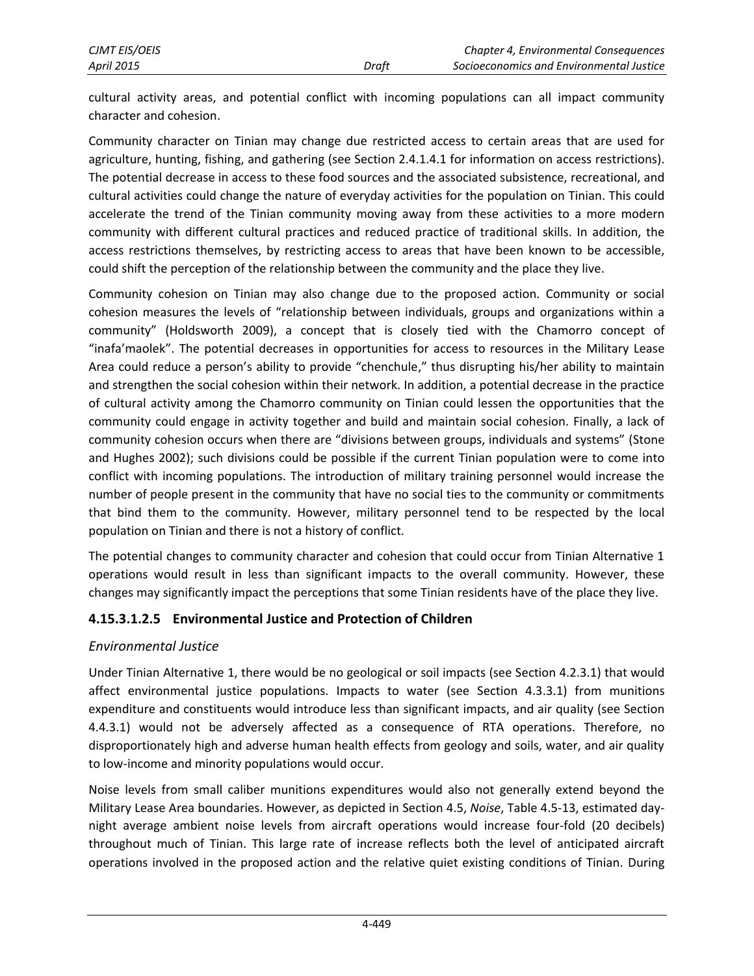cultural activity areas, and potential conflict with incoming populations can all impact community character and cohesion.

Community character on Tinian may change due restricted access to certain areas that are used for agriculture, hunting, fishing, and gathering (see Section 2.4.1.4.1 for information on access restrictions). The potential decrease in access to these food sources and the associated subsistence, recreational, and cultural activities could change the nature of everyday activities for the population on Tinian. This could accelerate the trend of the Tinian community moving away from these activities to a more modern community with different cultural practices and reduced practice of traditional skills. In addition, the access restrictions themselves, by restricting access to areas that have been known to be accessible, could shift the perception of the relationship between the community and the place they live.

Community cohesion on Tinian may also change due to the proposed action. Community or social cohesion measures the levels of "relationship between individuals, groups and organizations within a community" (Holdsworth 2009), a concept that is closely tied with the Chamorro concept of "inafa'maolek". The potential decreases in opportunities for access to resources in the Military Lease Area could reduce a person's ability to provide "chenchule," thus disrupting his/her ability to maintain and strengthen the social cohesion within their network. In addition, a potential decrease in the practice of cultural activity among the Chamorro community on Tinian could lessen the opportunities that the community could engage in activity together and build and maintain social cohesion. Finally, a lack of community cohesion occurs when there are "divisions between groups, individuals and systems" (Stone and Hughes 2002); such divisions could be possible if the current Tinian population were to come into conflict with incoming populations. The introduction of military training personnel would increase the number of people present in the community that have no social ties to the community or commitments that bind them to the community. However, military personnel tend to be respected by the local population on Tinian and there is not a history of conflict.

The potential changes to community character and cohesion that could occur from Tinian Alternative 1 operations would result in less than significant impacts to the overall community. However, these changes may significantly impact the perceptions that some Tinian residents have of the place they live.

### **4.15.3.1.2.5 Environmental Justice and Protection of Children**

#### *Environmental Justice*

Under Tinian Alternative 1, there would be no geological or soil impacts (see Section 4.2.3.1) that would affect environmental justice populations. Impacts to water (see Section 4.3.3.1) from munitions expenditure and constituents would introduce less than significant impacts, and air quality (see Section 4.4.3.1) would not be adversely affected as a consequence of RTA operations. Therefore, no disproportionately high and adverse human health effects from geology and soils, water, and air quality to low-income and minority populations would occur.

Noise levels from small caliber munitions expenditures would also not generally extend beyond the Military Lease Area boundaries. However, as depicted in Section 4.5, *Noise*, Table 4.5-13, estimated daynight average ambient noise levels from aircraft operations would increase four-fold (20 decibels) throughout much of Tinian. This large rate of increase reflects both the level of anticipated aircraft operations involved in the proposed action and the relative quiet existing conditions of Tinian. During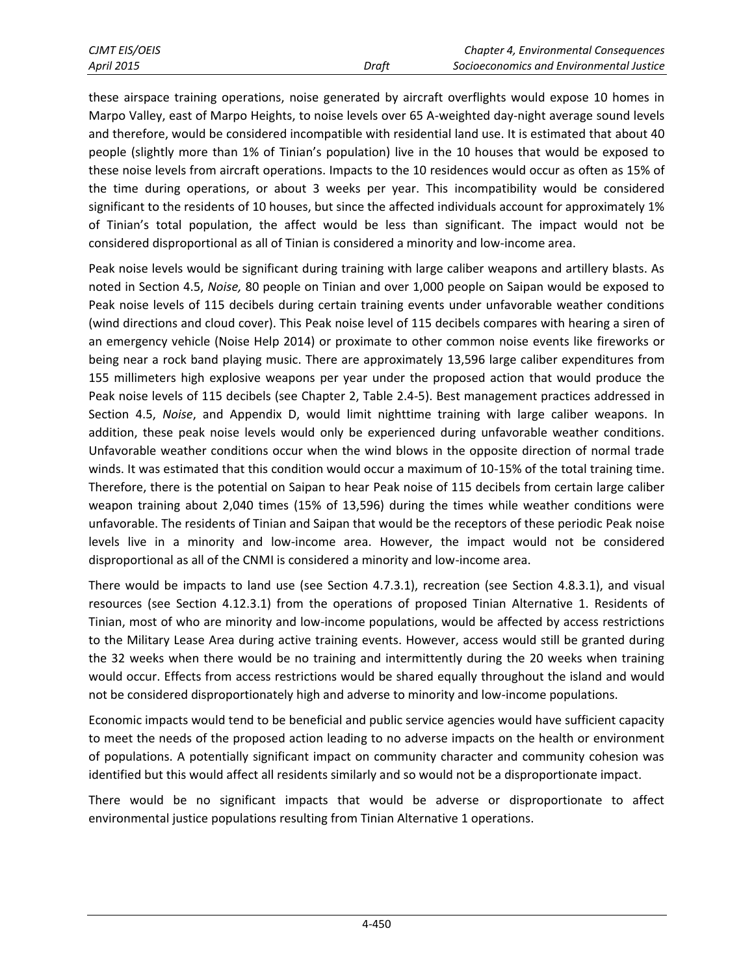| CJMT EIS/OEIS     |       | Chapter 4, Environmental Consequences    |
|-------------------|-------|------------------------------------------|
| <b>April 2015</b> | Draft | Socioeconomics and Environmental Justice |

these airspace training operations, noise generated by aircraft overflights would expose 10 homes in Marpo Valley, east of Marpo Heights, to noise levels over 65 A-weighted day-night average sound levels and therefore, would be considered incompatible with residential land use. It is estimated that about 40 people (slightly more than 1% of Tinian's population) live in the 10 houses that would be exposed to these noise levels from aircraft operations. Impacts to the 10 residences would occur as often as 15% of the time during operations, or about 3 weeks per year. This incompatibility would be considered significant to the residents of 10 houses, but since the affected individuals account for approximately 1% of Tinian's total population, the affect would be less than significant. The impact would not be considered disproportional as all of Tinian is considered a minority and low-income area.

Peak noise levels would be significant during training with large caliber weapons and artillery blasts. As noted in Section 4.5, *Noise,* 80 people on Tinian and over 1,000 people on Saipan would be exposed to Peak noise levels of 115 decibels during certain training events under unfavorable weather conditions (wind directions and cloud cover). This Peak noise level of 115 decibels compares with hearing a siren of an emergency vehicle (Noise Help 2014) or proximate to other common noise events like fireworks or being near a rock band playing music. There are approximately 13,596 large caliber expenditures from 155 millimeters high explosive weapons per year under the proposed action that would produce the Peak noise levels of 115 decibels (see Chapter 2, Table 2.4-5). Best management practices addressed in Section 4.5, *Noise*, and Appendix D, would limit nighttime training with large caliber weapons. In addition, these peak noise levels would only be experienced during unfavorable weather conditions. Unfavorable weather conditions occur when the wind blows in the opposite direction of normal trade winds. It was estimated that this condition would occur a maximum of 10-15% of the total training time. Therefore, there is the potential on Saipan to hear Peak noise of 115 decibels from certain large caliber weapon training about 2,040 times (15% of 13,596) during the times while weather conditions were unfavorable. The residents of Tinian and Saipan that would be the receptors of these periodic Peak noise levels live in a minority and low-income area. However, the impact would not be considered disproportional as all of the CNMI is considered a minority and low-income area.

There would be impacts to land use (see Section 4.7.3.1), recreation (see Section 4.8.3.1), and visual resources (see Section 4.12.3.1) from the operations of proposed Tinian Alternative 1. Residents of Tinian, most of who are minority and low-income populations, would be affected by access restrictions to the Military Lease Area during active training events. However, access would still be granted during the 32 weeks when there would be no training and intermittently during the 20 weeks when training would occur. Effects from access restrictions would be shared equally throughout the island and would not be considered disproportionately high and adverse to minority and low-income populations.

Economic impacts would tend to be beneficial and public service agencies would have sufficient capacity to meet the needs of the proposed action leading to no adverse impacts on the health or environment of populations. A potentially significant impact on community character and community cohesion was identified but this would affect all residents similarly and so would not be a disproportionate impact.

There would be no significant impacts that would be adverse or disproportionate to affect environmental justice populations resulting from Tinian Alternative 1 operations.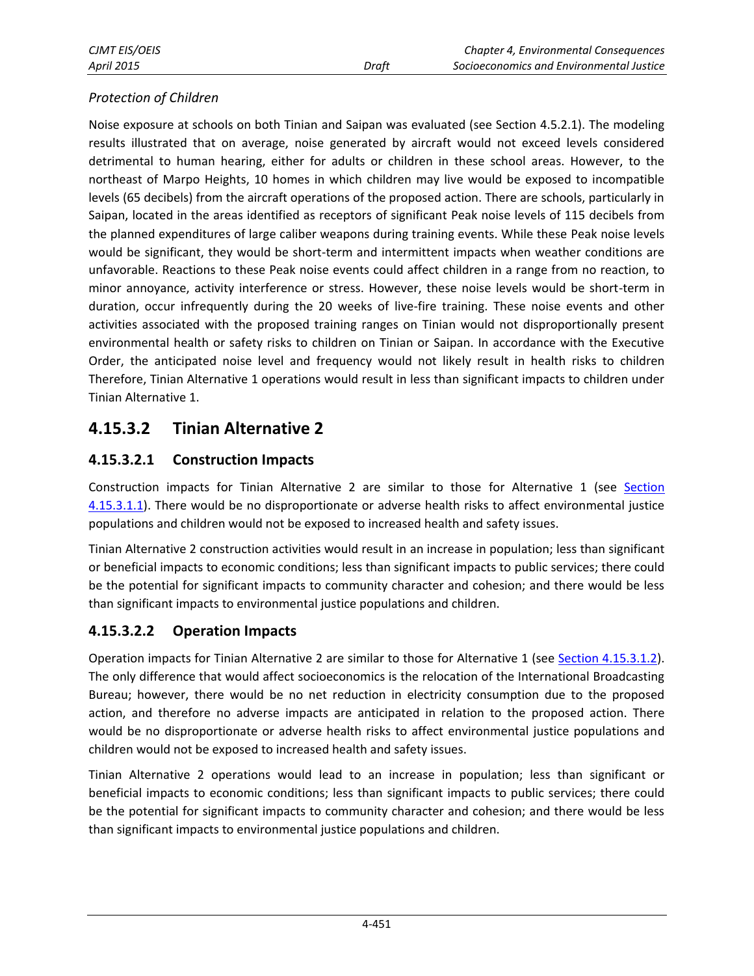### *Protection of Children*

Noise exposure at schools on both Tinian and Saipan was evaluated (see Section 4.5.2.1). The modeling results illustrated that on average, noise generated by aircraft would not exceed levels considered detrimental to human hearing, either for adults or children in these school areas. However, to the northeast of Marpo Heights, 10 homes in which children may live would be exposed to incompatible levels (65 decibels) from the aircraft operations of the proposed action. There are schools, particularly in Saipan, located in the areas identified as receptors of significant Peak noise levels of 115 decibels from the planned expenditures of large caliber weapons during training events. While these Peak noise levels would be significant, they would be short-term and intermittent impacts when weather conditions are unfavorable. Reactions to these Peak noise events could affect children in a range from no reaction, to minor annoyance, activity interference or stress. However, these noise levels would be short-term in duration, occur infrequently during the 20 weeks of live-fire training. These noise events and other activities associated with the proposed training ranges on Tinian would not disproportionally present environmental health or safety risks to children on Tinian or Saipan. In accordance with the Executive Order, the anticipated noise level and frequency would not likely result in health risks to children Therefore, Tinian Alternative 1 operations would result in less than significant impacts to children under Tinian Alternative 1.

# **4.15.3.2 Tinian Alternative 2**

# **4.15.3.2.1 Construction Impacts**

Construction impacts for Tinian Alternative 2 are similar to those for Alternative 1 (see [Section](#page-6-0)  [4.15.3.1.1\)](#page-6-0). There would be no disproportionate or adverse health risks to affect environmental justice populations and children would not be exposed to increased health and safety issues.

Tinian Alternative 2 construction activities would result in an increase in population; less than significant or beneficial impacts to economic conditions; less than significant impacts to public services; there could be the potential for significant impacts to community character and cohesion; and there would be less than significant impacts to environmental justice populations and children.

# **4.15.3.2.2 Operation Impacts**

Operation impacts for Tinian Alternative 2 are similar to those for Alternative 1 (see [Section 4.15.3.1.2\)](#page-11-0). The only difference that would affect socioeconomics is the relocation of the International Broadcasting Bureau; however, there would be no net reduction in electricity consumption due to the proposed action, and therefore no adverse impacts are anticipated in relation to the proposed action. There would be no disproportionate or adverse health risks to affect environmental justice populations and children would not be exposed to increased health and safety issues.

Tinian Alternative 2 operations would lead to an increase in population; less than significant or beneficial impacts to economic conditions; less than significant impacts to public services; there could be the potential for significant impacts to community character and cohesion; and there would be less than significant impacts to environmental justice populations and children.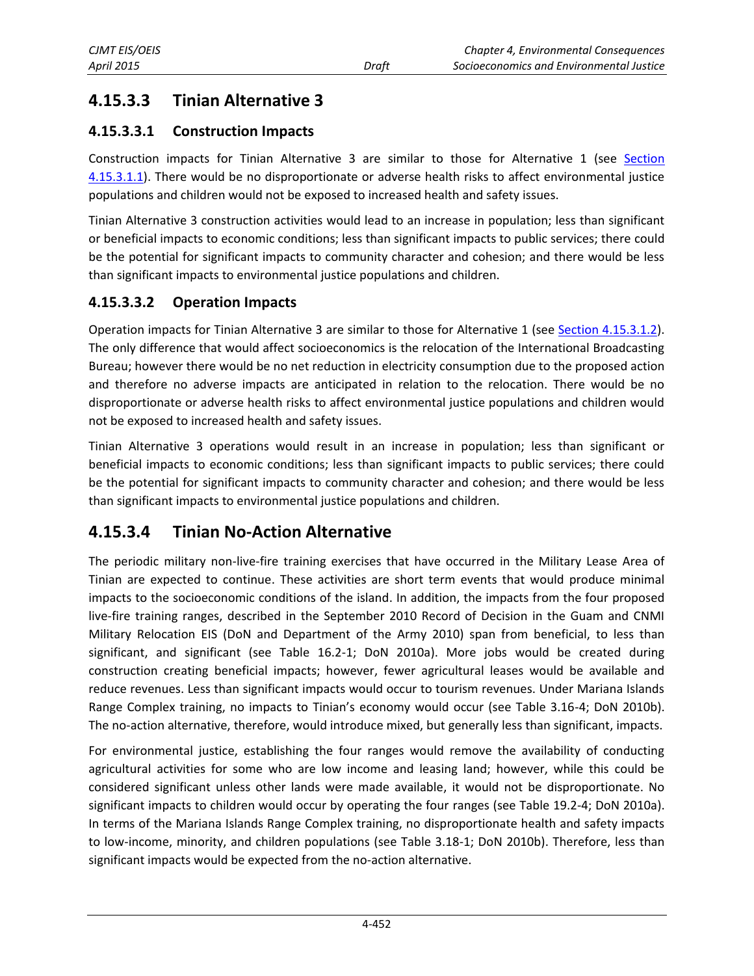# **4.15.3.3 Tinian Alternative 3**

### **4.15.3.3.1 Construction Impacts**

Construction impacts for Tinian Alternative 3 are similar to those for Alternative 1 (see [Section](#page-6-0)  [4.15.3.1.](#page-6-0)1). There would be no disproportionate or adverse health risks to affect environmental justice populations and children would not be exposed to increased health and safety issues.

Tinian Alternative 3 construction activities would lead to an increase in population; less than significant or beneficial impacts to economic conditions; less than significant impacts to public services; there could be the potential for significant impacts to community character and cohesion; and there would be less than significant impacts to environmental justice populations and children.

### **4.15.3.3.2 Operation Impacts**

Operation impacts for Tinian Alternative 3 are similar to those for Alternative 1 (see [Section 4.15.3.1.2\)](#page-11-0). The only difference that would affect socioeconomics is the relocation of the International Broadcasting Bureau; however there would be no net reduction in electricity consumption due to the proposed action and therefore no adverse impacts are anticipated in relation to the relocation. There would be no disproportionate or adverse health risks to affect environmental justice populations and children would not be exposed to increased health and safety issues.

Tinian Alternative 3 operations would result in an increase in population; less than significant or beneficial impacts to economic conditions; less than significant impacts to public services; there could be the potential for significant impacts to community character and cohesion; and there would be less than significant impacts to environmental justice populations and children.

# **4.15.3.4 Tinian No-Action Alternative**

The periodic military non-live-fire training exercises that have occurred in the Military Lease Area of Tinian are expected to continue. These activities are short term events that would produce minimal impacts to the socioeconomic conditions of the island. In addition, the impacts from the four proposed live-fire training ranges, described in the September 2010 Record of Decision in the Guam and CNMI Military Relocation EIS (DoN and Department of the Army 2010) span from beneficial, to less than significant, and significant (see Table 16.2-1; DoN 2010a). More jobs would be created during construction creating beneficial impacts; however, fewer agricultural leases would be available and reduce revenues. Less than significant impacts would occur to tourism revenues. Under Mariana Islands Range Complex training, no impacts to Tinian's economy would occur (see Table 3.16-4; DoN 2010b). The no-action alternative, therefore, would introduce mixed, but generally less than significant, impacts.

For environmental justice, establishing the four ranges would remove the availability of conducting agricultural activities for some who are low income and leasing land; however, while this could be considered significant unless other lands were made available, it would not be disproportionate. No significant impacts to children would occur by operating the four ranges (see Table 19.2-4; DoN 2010a). In terms of the Mariana Islands Range Complex training, no disproportionate health and safety impacts to low-income, minority, and children populations (see Table 3.18-1; DoN 2010b). Therefore, less than significant impacts would be expected from the no-action alternative.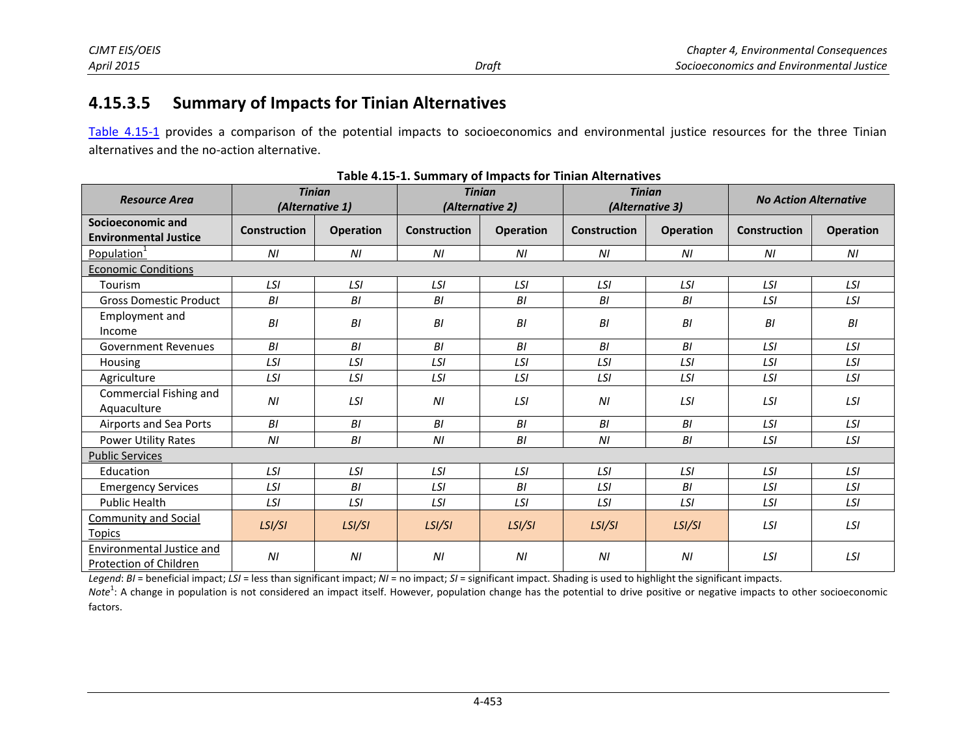# **4.15.3.5 Summary of Impacts for Tinian Alternatives**

Table 4.15-1 provides a comparison of the potential impacts to socioeconomics and environmental justice resources for the three Tinian alternatives and the no-action alternative.

| <b>Resource Area</b>                                |                     | <b>Tinian</b><br>(Alternative 1) | <b>Tinian</b><br>(Alternative 2) |                | <b>Tinian</b><br>(Alternative 3) |                  | <b>No Action Alternative</b> |                  |
|-----------------------------------------------------|---------------------|----------------------------------|----------------------------------|----------------|----------------------------------|------------------|------------------------------|------------------|
| Socioeconomic and<br><b>Environmental Justice</b>   | <b>Construction</b> | Operation                        | <b>Construction</b>              | Operation      | <b>Construction</b>              | <b>Operation</b> | <b>Construction</b>          | <b>Operation</b> |
| Population <sup>1</sup>                             | N <sub>l</sub>      | ΝI                               | ΝI                               | N <sub>l</sub> | N <sub>l</sub>                   | ΝI               | N <sub>l</sub>               | ΝI               |
| <b>Economic Conditions</b>                          |                     |                                  |                                  |                |                                  |                  |                              |                  |
| Tourism                                             | LSI                 | LSI                              | LSI                              | LSI            | LSI                              | LSI              | LSI                          | LSI              |
| <b>Gross Domestic Product</b>                       | BI                  | BI                               | BI                               | B1             | B1                               | BI               | LSI                          | LSI              |
| Employment and<br>Income                            | $\cal B\cal I$      | $\cal B\cal I$                   | BI                               | $\cal BI$      | BI                               | BI               | BI                           | BI               |
| <b>Government Revenues</b>                          | BI                  | B <sub>l</sub>                   | B <sub>l</sub>                   | BI             | BI                               | BI               | LSI                          | LSI              |
| Housing                                             | LSI                 | LSI                              | LSI                              | LSI            | LSI                              | LSI              | LSI                          | LSI              |
| Agriculture                                         | LSI                 | LSI                              | LSI                              | LSI            | LSI                              | LSI              | LSI                          | LSI              |
| Commercial Fishing and<br>Aquaculture               | N <sub>l</sub>      | LSI                              | N <sub>l</sub>                   | LSI            | N <sub>l</sub>                   | LSI              | LSI                          | LSI              |
| Airports and Sea Ports                              | B1                  | BI                               | B <sub>l</sub>                   | BI             | BI                               | B1               | LSI                          | LSI              |
| Power Utility Rates                                 | ΝI                  | B1                               | NI                               | BI             | ΝI                               | BI               | LSI                          | LSI              |
| <b>Public Services</b>                              |                     |                                  |                                  |                |                                  |                  |                              |                  |
| Education                                           | LSI                 | LSI                              | LSI                              | LSI            | LSI                              | LSI              | LSI                          | LSI              |
| <b>Emergency Services</b>                           | LSI                 | BI                               | LSI                              | BI             | LSI                              | BI               | LSI                          | LSI              |
| Public Health                                       | LSI                 | LSI                              | LSI                              | LSI            | LSI                              | LSI              | LSI                          | LSI              |
| <b>Community and Social</b><br><b>Topics</b>        | LSI/SI              | LSI/SI                           | LSI/SI                           | LSI/SI         | LSI/SI                           | LSI/SI           | LSI                          | LSI              |
| Environmental Justice and<br>Protection of Children | N <sub>l</sub>      | N <sub>l</sub>                   | N <sub>l</sub>                   | N <sub>l</sub> | N <sub>l</sub>                   | N <sub>l</sub>   | LSI                          | LSI              |

**Table 4.15-1. Summary of Impacts for Tinian Alternatives** 

*Legend*: *BI* = beneficial impact; *LSI* = less than significant impact; *NI* = no impact; *SI* = significant impact. Shading is used to highlight the significant impacts.

Note<sup>1</sup>: A change in population is not considered an impact itself. However, population change has the potential to drive positive or negative impacts to other socioeconomic factors.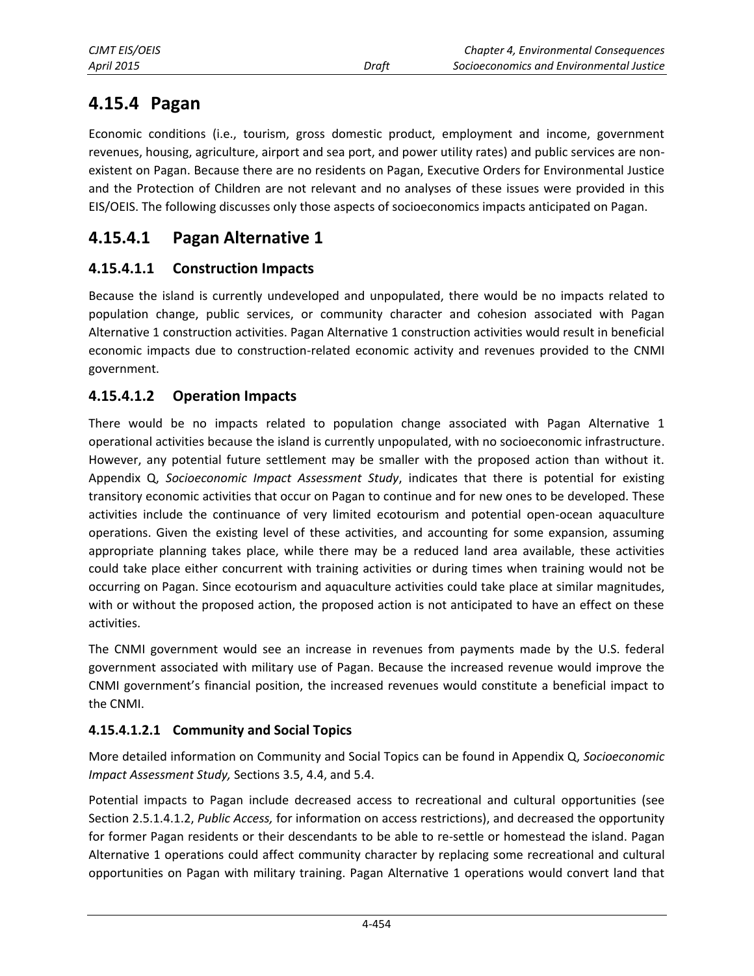# **4.15.4 Pagan**

Economic conditions (i.e., tourism, gross domestic product, employment and income, government revenues, housing, agriculture, airport and sea port, and power utility rates) and public services are nonexistent on Pagan. Because there are no residents on Pagan, Executive Orders for Environmental Justice and the Protection of Children are not relevant and no analyses of these issues were provided in this EIS/OEIS. The following discusses only those aspects of socioeconomics impacts anticipated on Pagan.

# **4.15.4.1 Pagan Alternative 1**

# **4.15.4.1.1 Construction Impacts**

Because the island is currently undeveloped and unpopulated, there would be no impacts related to population change, public services, or community character and cohesion associated with Pagan Alternative 1 construction activities. Pagan Alternative 1 construction activities would result in beneficial economic impacts due to construction-related economic activity and revenues provided to the CNMI government.

## **4.15.4.1.2 Operation Impacts**

There would be no impacts related to population change associated with Pagan Alternative 1 operational activities because the island is currently unpopulated, with no socioeconomic infrastructure. However, any potential future settlement may be smaller with the proposed action than without it. Appendix Q, *Socioeconomic Impact Assessment Study*, indicates that there is potential for existing transitory economic activities that occur on Pagan to continue and for new ones to be developed. These activities include the continuance of very limited ecotourism and potential open-ocean aquaculture operations. Given the existing level of these activities, and accounting for some expansion, assuming appropriate planning takes place, while there may be a reduced land area available, these activities could take place either concurrent with training activities or during times when training would not be occurring on Pagan. Since ecotourism and aquaculture activities could take place at similar magnitudes, with or without the proposed action, the proposed action is not anticipated to have an effect on these activities.

The CNMI government would see an increase in revenues from payments made by the U.S. federal government associated with military use of Pagan. Because the increased revenue would improve the CNMI government's financial position, the increased revenues would constitute a beneficial impact to the CNMI.

### **4.15.4.1.2.1 Community and Social Topics**

More detailed information on Community and Social Topics can be found in Appendix Q, *Socioeconomic Impact Assessment Study,* Sections 3.5, 4.4, and 5.4.

Potential impacts to Pagan include decreased access to recreational and cultural opportunities (see Section 2.5.1.4.1.2, *Public Access,* for information on access restrictions), and decreased the opportunity for former Pagan residents or their descendants to be able to re-settle or homestead the island. Pagan Alternative 1 operations could affect community character by replacing some recreational and cultural opportunities on Pagan with military training. Pagan Alternative 1 operations would convert land that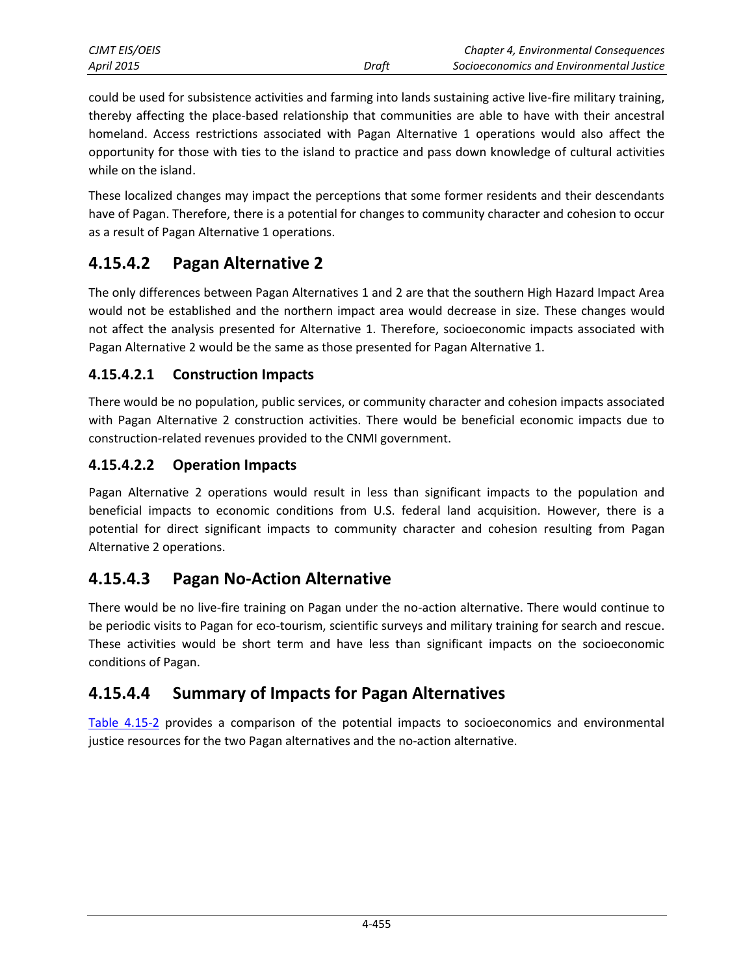| CJMT EIS/OEIS |       | Chapter 4, Environmental Consequences    |
|---------------|-------|------------------------------------------|
| April 2015    | Draft | Socioeconomics and Environmental Justice |

could be used for subsistence activities and farming into lands sustaining active live-fire military training, thereby affecting the place-based relationship that communities are able to have with their ancestral homeland. Access restrictions associated with Pagan Alternative 1 operations would also affect the opportunity for those with ties to the island to practice and pass down knowledge of cultural activities while on the island.

These localized changes may impact the perceptions that some former residents and their descendants have of Pagan. Therefore, there is a potential for changes to community character and cohesion to occur as a result of Pagan Alternative 1 operations.

# **4.15.4.2 Pagan Alternative 2**

The only differences between Pagan Alternatives 1 and 2 are that the southern High Hazard Impact Area would not be established and the northern impact area would decrease in size. These changes would not affect the analysis presented for Alternative 1. Therefore, socioeconomic impacts associated with Pagan Alternative 2 would be the same as those presented for Pagan Alternative 1.

### **4.15.4.2.1 Construction Impacts**

There would be no population, public services, or community character and cohesion impacts associated with Pagan Alternative 2 construction activities. There would be beneficial economic impacts due to construction-related revenues provided to the CNMI government.

### **4.15.4.2.2 Operation Impacts**

Pagan Alternative 2 operations would result in less than significant impacts to the population and beneficial impacts to economic conditions from U.S. federal land acquisition. However, there is a potential for direct significant impacts to community character and cohesion resulting from Pagan Alternative 2 operations.

# **4.15.4.3 Pagan No-Action Alternative**

There would be no live-fire training on Pagan under the no-action alternative. There would continue to be periodic visits to Pagan for eco-tourism, scientific surveys and military training for search and rescue. These activities would be short term and have less than significant impacts on the socioeconomic conditions of Pagan.

# **4.15.4.4 Summary of Impacts for Pagan Alternatives**

<span id="page-22-0"></span>[Table 4.15-2](#page-22-0) provides a comparison of the potential impacts to socioeconomics and environmental justice resources for the two Pagan alternatives and the no-action alternative.